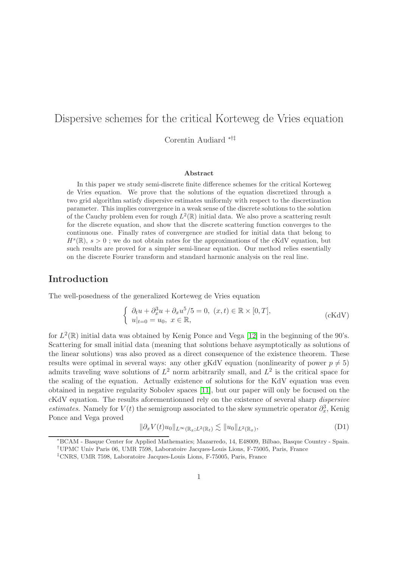# Dispersive schemes for the critical Korteweg de Vries equation

Corentin Audiard ∗†‡

#### Abstract

In this paper we study semi-discrete finite difference schemes for the critical Korteweg de Vries equation. We prove that the solutions of the equation discretized through a two grid algorithm satisfy dispersive estimates uniformly with respect to the discretization parameter. This implies convergence in a weak sense of the discrete solutions to the solution of the Cauchy problem even for rough  $L^2(\mathbb{R})$  initial data. We also prove a scattering result for the discrete equation, and show that the discrete scattering function converges to the continuous one. Finally rates of convergence are studied for initial data that belong to  $H<sup>s</sup>(\mathbb{R})$ ,  $s > 0$ ; we do not obtain rates for the approximations of the cKdV equation, but such results are proved for a simpler semi-linear equation. Our method relies essentially on the discrete Fourier transform and standard harmonic analysis on the real line.

# Introduction

The well-posedness of the generalized Korteweg de Vries equation

$$
\begin{cases} \n\partial_t u + \partial_x^3 u + \partial_x u^5 / 5 = 0, \ (x, t) \in \mathbb{R} \times [0, T], \\ \nu|_{t=0} = u_0, \ x \in \mathbb{R}, \n\end{cases} \tag{cKdV}
$$

for  $L^2(\mathbb{R})$  initial data was obtained by Kenig Ponce and Vega [\[12\]](#page-43-0) in the beginning of the 90's. Scattering for small initial data (meaning that solutions behave asymptotically as solutions of the linear solutions) was also proved as a direct consequence of the existence theorem. These results were optimal in several ways: any other gKdV equation (nonlinearity of power  $p \neq 5$ ) admits traveling wave solutions of  $L^2$  norm arbitrarily small, and  $L^2$  is the critical space for the scaling of the equation. Actually existence of solutions for the KdV equation was even obtained in negative regularity Sobolev spaces [\[11\]](#page-43-1), but our paper will only be focused on the cKdV equation. The results aforementionned rely on the existence of several sharp dispersive estimates. Namely for  $V(t)$  the semigroup associated to the skew symmetric operator  $\partial_x^3$ , Kenig Ponce and Vega proved

<span id="page-0-0"></span>
$$
\|\partial_x V(t)u_0\|_{L^\infty(\mathbb{R}_x;L^2(\mathbb{R}_t)} \lesssim \|u_0\|_{L^2(\mathbb{R}_x)},\tag{D1}
$$

<sup>∗</sup>BCAM - Basque Center for Applied Mathematics; Mazarredo, 14, E48009, Bilbao, Basque Country - Spain. †UPMC Univ Paris 06, UMR 7598, Laboratoire Jacques-Louis Lions, F-75005, Paris, France

<sup>‡</sup>CNRS, UMR 7598, Laboratoire Jacques-Louis Lions, F-75005, Paris, France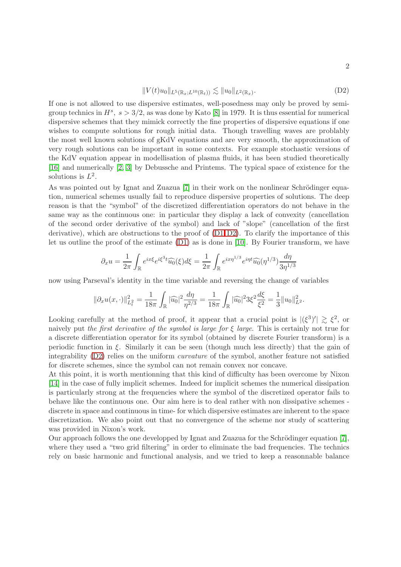<span id="page-1-0"></span>
$$
||V(t)u_0||_{L^5(\mathbb{R}_x;L^{10}(\mathbb{R}_t))} \lesssim ||u_0||_{L^2(\mathbb{R}_x)}.
$$
\n(D2)

If one is not allowed to use dispersive estimates, well-posedness may only be proved by semigroup technics in  $H^s$ ,  $s > 3/2$ , as was done by Kato [\[8\]](#page-43-2) in 1979. It is thus essential for numerical dispersive schemes that they mimick correctly the fine properties of dispersive equations if one wishes to compute solutions for rough initial data. Though travelling waves are problably the most well known solutions of gKdV equations and are very smooth, the approximation of very rough solutions can be important in some contexts. For example stochastic versions of the KdV equation appear in modellisation of plasma fluids, it has been studied theoretically [\[16\]](#page-43-3) and numerically [\[2,](#page-42-0) [3\]](#page-42-1) by Debussche and Printems. The typical space of existence for the solutions is  $L^2$ .

As was pointed out by Ignat and Zuazua  $[7]$  in their work on the nonlinear Schrödinger equation, numerical schemes usually fail to reproduce dispersive properties of solutions. The deep reason is that the "symbol" of the discretized differentiation operators do not behave in the same way as the continuous one: in particular they display a lack of convexity (cancellation of the second order derivative of the symbol) and lack of "slope" (cancellation of the first derivative), which are obstructions to the proof of  $(D1, D2)$  $(D1, D2)$ . To clarify the importance of this let us outline the proof of the estimate [\(D1\)](#page-0-0) as is done in [\[10\]](#page-43-5). By Fourier transform, we have

$$
\partial_x u = \frac{1}{2\pi} \int_{\mathbb{R}} e^{ix\xi} e^{i\xi^3 t} \widehat{u_0}(\xi) d\xi = \frac{1}{2\pi} \int_{\mathbb{R}} e^{ix\eta^{1/3}} e^{i\eta t} \widehat{u_0}(\eta^{1/3}) \frac{d\eta}{3\eta^{1/3}}
$$

now using Parseval's identity in the time variable and reversing the change of variables

$$
\|\partial_x u(x,\cdot)\|_{L^2_t}^2 = \frac{1}{18\pi} \int_{\mathbb{R}} |\widehat{u_0}|^2 \frac{d\eta}{\eta^{2/3}} = \frac{1}{18\pi} \int_{\mathbb{R}} |\widehat{u_0}|^2 3\xi^2 \frac{d\xi}{\xi^2} = \frac{1}{3} \|u_0\|_{L^2}^2.
$$

Looking carefully at the method of proof, it appear that a crucial point is  $|(\xi^3)'| \geq \xi^2$ , or naively put the first derivative of the symbol is large for  $\xi$  large. This is certainly not true for a discrete differentiation operator for its symbol (obtained by discrete Fourier transform) is a periodic function in  $\xi$ . Similarly it can be seen (though much less directly) that the gain of integrability [\(D2\)](#page-1-0) relies on the uniform *curvature* of the symbol, another feature not satisfied for discrete schemes, since the symbol can not remain convex nor concave.

At this point, it is worth mentionning that this kind of difficulty has been overcome by Nixon [\[14\]](#page-43-6) in the case of fully implicit schemes. Indeed for implicit schemes the numerical dissipation is particularly strong at the frequencies where the symbol of the discretized operator fails to behave like the continuous one. Our aim here is to deal rather with non dissipative schemes discrete in space and continuous in time- for which dispersive estimates are inherent to the space discretization. We also point out that no convergence of the scheme nor study of scattering was provided in Nixon's work.

Our approach follows the one developped by Ignat and Zuazua for the Schrödinger equation [\[7\]](#page-43-4), where they used a "two grid filtering" in order to eliminate the bad frequencies. The technics rely on basic harmonic and functional analysis, and we tried to keep a reasonnable balance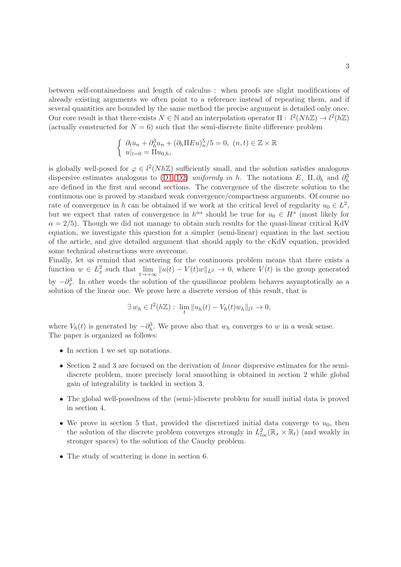between self-containedness and length of calculus : when proofs are slight modifications of already existing arguments we often point to a reference instead of repeating them, and if several quantities are bounded by the same method the precise argument is detailed only once. Our core result is that there exists  $N \in \mathbb{N}$  and an interpolation operator  $\Pi : l^2(Nh\mathbb{Z}) \to l^2(h\mathbb{Z})$ (actually constructed for  $N = 6$ ) such that the semi-discrete finite difference problem

$$
\begin{cases} \partial_t u_n + \partial_h^3 u_n + (\partial_h \Pi E u)_n^5 / 5 = 0, (n, t) \in \mathbb{Z} \times \mathbb{R} \\ u|_{t=0} = \Pi u_{0,h}, \end{cases}
$$

is globally well-posed for  $\varphi \in l^2(Nh\mathbb{Z})$  sufficiently small, and the solution satisfies analogous dispersive estimates analogous to [\(D1](#page-0-0), [D2\)](#page-1-0) uniformly in h. The notations E,  $\Pi$ ,  $\partial_h$  and  $\partial_h^3$ are defined in the first and second sections. The convergence of the discrete solution to the continuous one is proved by standard weak convergence/compactness arguments. Of course no rate of convergence in h can be obtained if we work at the critical level of regularity  $u_0 \in L^2$ , but we expect that rates of convergence in  $h^{\alpha s}$  should be true for  $u_0 \in H^s$  (most likely for  $\alpha = 2/5$ . Though we did not manage to obtain such results for the quasi-linear critical KdV equation, we investigate this question for a simpler (semi-linear) equation in the last section of the article, and give detailed argument that should apply to the cKdV equation, provided some technical obstructions were overcome.

Finally, let us remind that scattering for the continuous problem means that there exists a function  $w \in L^2_x$  such that  $\lim_{t \to +\infty}$  $\lim_{t\to+\infty}||u(t)-V(t)w||_{L^2}\to 0$ , where  $V(t)$  is the group generated by  $-\partial_x^3$ . In other words the solution of the quasilinear problem behaves asymptotically as a solution of the linear one. We prove here a discrete version of this result, that is

$$
\exists w_h \in l^2(h\mathbb{Z}): \lim_{t} \|u_h(t) - V_h(t)w_h\|_{l^2} \to 0,
$$

where  $V_h(t)$  is generated by  $-\partial_h^3$ . We prove also that  $w_h$  converges to w in a weak sense. The paper is organized as follows:

- In section 1 we set up notations.
- Section 2 and 3 are focused on the derivation of *linear* dispersive estimates for the semidiscrete problem, more precisely local smoothing is obtained in section 2 while global gain of integrability is tackled in section 3.
- The global well-posedness of the (semi-)discrete problem for small initial data is proved in section 4.
- We prove in section 5 that, provided the discretized initial data converge to  $u_0$ , then the solution of the discrete problem converges strongly in  $L^2_{loc}(\mathbb{R}_x \times \mathbb{R}_t)$  (and weakly in stronger spaces) to the solution of the Cauchy problem.
- The study of scattering is done in section 6.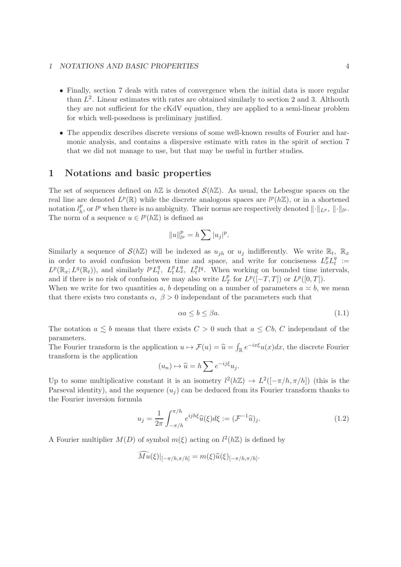#### 1 NOTATIONS AND BASIC PROPERTIES 4

- Finally, section 7 deals with rates of convergence when the initial data is more regular than  $L^2$ . Linear estimates with rates are obtained similarly to section 2 and 3. Althouth they are not sufficient for the cKdV equation, they are applied to a semi-linear problem for which well-posedness is preliminary justified.
- The appendix describes discrete versions of some well-known results of Fourier and harmonic analysis, and contains a dispersive estimate with rates in the spirit of section 7 that we did not manage to use, but that may be useful in further studies.

### 1 Notations and basic properties

The set of sequences defined on  $h\mathbb{Z}$  is denoted  $\mathcal{S}(h\mathbb{Z})$ . As usual, the Lebesgue spaces on the real line are denoted  $L^p(\mathbb{R})$  while the discrete analogous spaces are  $l^p(h\mathbb{Z})$ , or in a shortened notation  $l_h^p$  $_{h}^{p}$ , or  $l^{p}$  when there is no ambiguity. Their norms are respectively denoted  $\|\cdot\|_{L^{p}}$ ,  $\|\cdot\|_{l^{p}}$ . The norm of a sequence  $u \in l^p(h\mathbb{Z})$  is defined as

$$
||u||_{l^p}^p = h \sum |u_j|^p.
$$

Similarly a sequence of  $\mathcal{S}(h\mathbb{Z})$  will be indexed as  $u_{jh}$  or  $u_j$  indifferently. We write  $\mathbb{R}_t$ ,  $\mathbb{R}_x$ in order to avoid confusion between time and space, and write for conciseness  $L_x^p L_t^q$  $\frac{q}{t} :=$  $L^p(\mathbb{R}_x; L^q(\mathbb{R}_t))$ , and similarly  $l^p L_t^q$  $t_t^q$ ,  $L_t^p L_x^q$ ,  $L_t^p l^q$ . When working on bounded time intervals, and if there is no risk of confusion we may also write  $L_T^p$  $_{T}^{p}$  for  $L^{p}([-T,T])$  or  $L^{p}([0,T])$ .

When we write for two quantities a, b depending on a number of parameters  $a \approx b$ , we mean that there exists two constants  $\alpha$ ,  $\beta > 0$  independant of the parameters such that

$$
\alpha a \le b \le \beta a. \tag{1.1}
$$

The notation  $a \leq b$  means that there exists  $C > 0$  such that  $a \leq Cb$ , C independant of the parameters.

The Fourier transform is the application  $u \mapsto \mathcal{F}(u) = \hat{u} = \int_{\mathbb{R}} e^{-ix\xi} u(x) dx$ , the discrete Fourier transform is the application

$$
(u_n)\mapsto \widehat{u}=h\sum e^{-ij\xi}u_j.
$$

Up to some multiplicative constant it is an isometry  $l^2(h\mathbb{Z}) \to L^2([-{\pi}/h,{\pi}/h])$  (this is the Parseval identity), and the sequence  $(u_i)$  can be deduced from its Fourier transform thanks to the Fourier inversion formula

$$
u_j = \frac{1}{2\pi} \int_{-\pi/h}^{\pi/h} e^{ijh\xi} \widehat{u}(\xi) d\xi := (\mathcal{F}^{-1}\widehat{u})_j.
$$
 (1.2)

A Fourier multiplier  $M(D)$  of symbol  $m(\xi)$  acting on  $l^2(h\mathbb{Z})$  is defined by

$$
Mu(\xi)|_{[-\pi/h,\pi/h]} = m(\xi)\widehat{u}(\xi)|_{[-\pi/h,\pi/h]}.
$$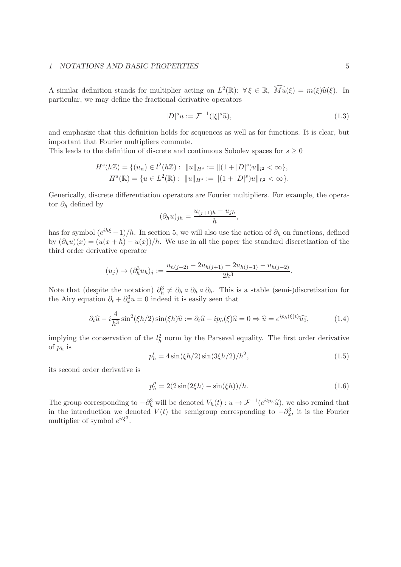#### 1 NOTATIONS AND BASIC PROPERTIES 5

A similar definition stands for multiplier acting on  $L^2(\mathbb{R})$ :  $\forall \xi \in \mathbb{R}$ ,  $\widehat{Mu}(\xi) = m(\xi)\widehat{u}(\xi)$ . In particular, we may define the fractional derivative operators

$$
|D|^s u := \mathcal{F}^{-1}(|\xi|^s \widehat{u}),\tag{1.3}
$$

and emphasize that this definition holds for sequences as well as for functions. It is clear, but important that Fourier multipliers commute.

This leads to the definition of discrete and continuous Sobolev spaces for  $s \geq 0$ 

$$
H^{s}(h\mathbb{Z}) = \{(u_n) \in l^2(h\mathbb{Z}) : ||u||_{H^{s}} := ||(1+|D|^{s})u||_{l^2} < \infty\},
$$
  

$$
H^{s}(\mathbb{R}) = \{u \in L^2(\mathbb{R}) : ||u||_{H^{s}} := ||(1+|D|^{s})u||_{L^2} < \infty\}.
$$

Generically, discrete differentiation operators are Fourier multipliers. For example, the operator  $\partial_h$  defined by

$$
(\partial_h u)_{jh} = \frac{u_{(j+1)h} - u_{jh}}{h},
$$

has for symbol  $(e^{ih\xi} - 1)/h$ . In section 5, we will also use the action of  $\partial_h$  on functions, defined by  $(\partial_h u)(x) = (u(x+h) - u(x))/h$ . We use in all the paper the standard discretization of the third order derivative operator

$$
(u_j) \to (\partial_h^3 u_h)_j := \frac{u_{h(j+2)} - 2u_{h(j+1)} + 2u_{h(j-1)} - u_{h(j-2)}}{2h^3}.
$$

Note that (despite the notation)  $\partial_h^3 \neq \partial_h \circ \partial_h \circ \partial_h$ . This is a stable (semi-)discretization for the Airy equation  $\partial_t + \partial_x^3 u = 0$  indeed it is easily seen that

$$
\partial_t \widehat{u} - i \frac{4}{h^3} \sin^2(\xi h/2) \sin(\xi h) \widehat{u} := \partial_t \widehat{u} - ip_h(\xi) \widehat{u} = 0 \Rightarrow \widehat{u} = e^{ip_h(\xi)t} \widehat{u_0},\tag{1.4}
$$

implying the conservation of the  $l_h^2$  norm by the Parseval equality. The first order derivative of  $p_h$  is

$$
p'_h = 4\sin(\xi h/2)\sin(3\xi h/2)/h^2,
$$
\n(1.5)

its second order derivative is

<span id="page-4-0"></span>
$$
p_h'' = 2(2\sin(2\xi h) - \sin(\xi h))/h.
$$
 (1.6)

The group corresponding to  $-\partial_h^3$  will be denoted  $V_h(t) : u \to \mathcal{F}^{-1}(e^{itp_h}\hat{u})$ , we also remind that in the introduction we denoted  $V(t)$  the semigroup corresponding to  $-\partial_x^3$ , it is the Fourier multiplier of symbol  $e^{it\xi^3}$ .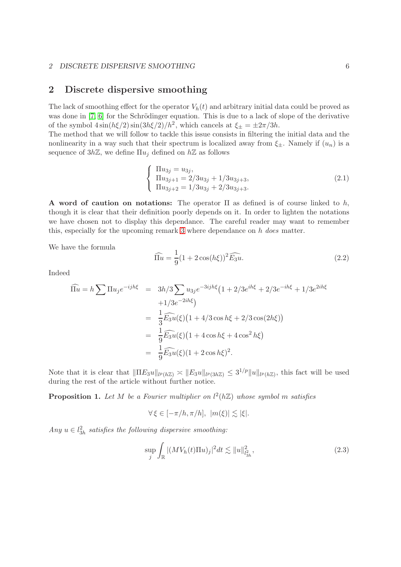#### 2 DISCRETE DISPERSIVE SMOOTHING 6

### 2 Discrete dispersive smoothing

The lack of smoothing effect for the operator  $V_h(t)$  and arbitrary initial data could be proved as was done in  $[7, 6]$  $[7, 6]$  for the Schrödinger equation. This is due to a lack of slope of the derivative of the symbol  $4\sin(h\xi/2)\sin(3h\xi/2)/h^2$ , which cancels at  $\xi_{\pm} = \pm 2\pi/3h$ .

The method that we will follow to tackle this issue consists in filtering the initial data and the nonlinearity in a way such that their spectrum is localized away from  $\xi_{\pm}$ . Namely if  $(u_n)$  is a sequence of  $3h\mathbb{Z}$ , we define  $\Pi u_i$  defined on  $h\mathbb{Z}$  as follows

$$
\begin{cases}\n\Pi u_{3j} = u_{3j}, \n\Pi u_{3j+1} = 2/3u_{3j} + 1/3u_{3j+3}, \n\Pi u_{3j+2} = 1/3u_{3j} + 2/3u_{3j+3}.\n\end{cases}
$$
\n(2.1)

A word of caution on notations: The operator  $\Pi$  as defined is of course linked to h, though it is clear that their definition poorly depends on it. In order to lighten the notations we have chosen not to display this dependance. The careful reader may want to remember this, especially for the upcoming remark [3](#page-9-0) where dependance on h does matter.

We have the formula

$$
\widehat{\Pi u} = \frac{1}{9} (1 + 2 \cos(h\xi))^2 \widehat{E_3 u}.
$$
\n(2.2)

Indeed

$$
\widehat{\Pi u} = h \sum \Pi u_j e^{-ijh\xi} = 3h/3 \sum u_{3j} e^{-3ijh\xi} (1 + 2/3e^{ih\xi} + 2/3e^{-ih\xi} + 1/3e^{2ih\xi} \n+1/3e^{-2ih\xi}) \n= \frac{1}{3} \widehat{E_3 u}(\xi) (1 + 4/3 \cos h\xi + 2/3 \cos(2h\xi)) \n= \frac{1}{9} \widehat{E_3 u}(\xi) (1 + 4 \cos h\xi + 4 \cos^2 h\xi) \n= \frac{1}{9} \widehat{E_3 u}(\xi) (1 + 2 \cos h\xi)^2.
$$

Note that it is clear that  $\|\Pi E_3 u\|_{l^p(h\mathbb{Z})} \leq \|E_3 u\|_{l^p(3h\mathbb{Z})} \leq 3^{1/p} \|u\|_{l^p(h\mathbb{Z})}$ , this fact will be used during the rest of the article without further notice.

<span id="page-5-1"></span>**Proposition 1.** Let M be a Fourier multiplier on  $l^2(h\mathbb{Z})$  whose symbol m satisfies

$$
\forall \xi \in [-\pi/h, \pi/h], \ |m(\xi)| \lesssim |\xi|.
$$

Any  $u \in l<sub>3h</sub><sup>2</sup>$  satisfies the following dispersive smoothing:

<span id="page-5-0"></span>
$$
\sup_{j} \int_{\mathbb{R}} |(MV_h(t)\Pi u)_j|^2 dt \lesssim ||u||_{l^2_{3h}}^2,
$$
\n(2.3)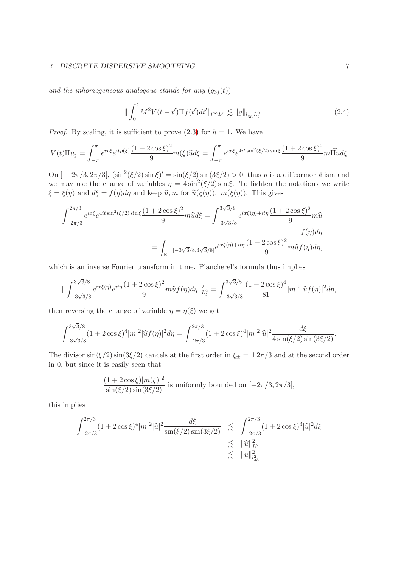#### 2 DISCRETE DISPERSIVE SMOOTHING 7

and the inhomogeneous analogous stands for any  $(g_{3i}(t))$ 

<span id="page-6-0"></span>
$$
\|\int_0^t M^2 V(t-t')\Pi f(t')dt'\|_{l^\infty L^2} \lesssim \|g\|_{l^1_{3h}L^2_t}
$$
\n(2.4)

*Proof.* By scaling, it is sufficient to prove [\(2.3\)](#page-5-0) for  $h = 1$ . We have

$$
V(t)\Pi u_j = \int_{-\pi}^{\pi} e^{ix\xi} e^{itp(\xi)} \frac{(1+2\cos\xi)^2}{9} m(\xi) \hat{u} d\xi = \int_{-\pi}^{\pi} e^{ix\xi} e^{4it\sin^2(\xi/2)\sin\xi} \frac{(1+2\cos\xi)^2}{9} m \widehat{\Pi} u d\xi
$$

On  $]-2\pi/3, 2\pi/3[$ ,  $(\sin^2(\xi/2)\sin \xi)' = \sin(\xi/2)\sin(3\xi/2) > 0$ , thus p is a diffeormorphism and we may use the change of variables  $\eta = 4 \sin^2(\xi/2) \sin \xi$ . To lighten the notations we write  $\xi = \xi(\eta)$  and  $d\xi = f(\eta)d\eta$  and keep  $\hat{u}, m$  for  $\hat{u}(\xi(\eta))$ ,  $m(\xi(\eta))$ . This gives

$$
\int_{-2\pi/3}^{2\pi/3} e^{ix\xi} e^{4it\sin^2(\xi/2)\sin\xi} \frac{(1+2\cos\xi)^2}{9} m\hat{u} d\xi = \int_{-3\sqrt{3}/8}^{3\sqrt{3}/8} e^{ix\xi(\eta)+it\eta} \frac{(1+2\cos\xi)^2}{9} m\hat{u}
$$

$$
= \int_{\mathbb{R}} 1_{[-3\sqrt{3}/8,3\sqrt{3}/8]} e^{ix\xi(\eta)+it\eta} \frac{(1+2\cos\xi)^2}{9} m\hat{u} f(\eta) d\eta,
$$

which is an inverse Fourier transform in time. Plancherel's formula thus implies

$$
\|\int_{-3\sqrt{3}/8}^{3\sqrt{3}/8} e^{ix\xi(\eta)} e^{it\eta} \frac{(1+2\cos\xi)^2}{9} m\widehat{u}f(\eta) d\eta\|_{L_t^2}^2 = \int_{-3\sqrt{3}/8}^{3\sqrt{3}/8} \frac{(1+2\cos\xi)^4}{81} |m|^2 |\widehat{u}f(\eta)|^2 d\eta,
$$

then reversing the change of variable  $\eta = \eta(\xi)$  we get

$$
\int_{-3\sqrt{3}/8}^{3\sqrt{3}/8} (1+2\cos\xi)^4 |m|^2 |\hat{u}f(\eta)|^2 d\eta = \int_{-2\pi/3}^{2\pi/3} (1+2\cos\xi)^4 |m|^2 |\hat{u}|^2 \frac{d\xi}{4\sin(\xi/2)\sin(3\xi/2)}.
$$

The divisor  $\sin(\xi/2)\sin(3\xi/2)$  cancels at the first order in  $\xi_{\pm} = \pm 2\pi/3$  and at the second order in 0, but since it is easily seen that

$$
\frac{(1+2\cos\xi)|m(\xi)|^2}{\sin(\xi/2)\sin(3\xi/2)}
$$
 is uniformly bounded on  $[-2\pi/3, 2\pi/3]$ ,

this implies

$$
\int_{-2\pi/3}^{2\pi/3} (1 + 2\cos\xi)^4 |m|^2 |\hat{u}|^2 \frac{d\xi}{\sin(\xi/2)\sin(3\xi/2)} \leq \int_{-2\pi/3}^{2\pi/3} (1 + 2\cos\xi)^3 |\hat{u}|^2 d\xi
$$
  

$$
\lesssim ||\hat{u}||_{L^2}^2
$$
  

$$
\lesssim ||u||_{l_{3h}^2}^2
$$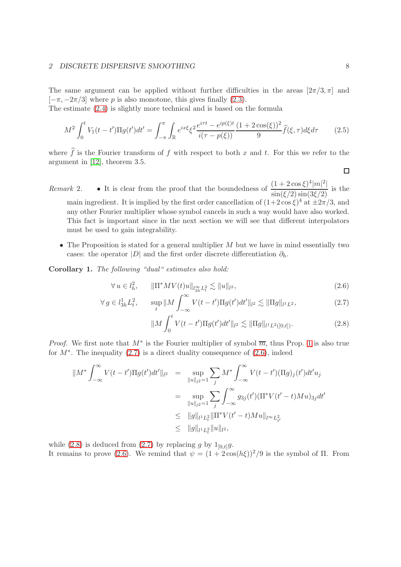#### 2 DISCRETE DISPERSIVE SMOOTHING 8

The same argument can be applied without further difficulties in the areas  $[2\pi/3, \pi]$  and  $[-\pi, -2\pi/3]$  where p is also monotone, this gives finally [\(2.3\)](#page-5-0).

The estimate [\(2.4\)](#page-6-0) is slightly more technical and is based on the formula

$$
M^{2} \int_{0}^{t} V_{1}(t-t') \Pi g(t')dt' = \int_{-\pi}^{\pi} \int_{\mathbb{R}} e^{ix\xi} \xi^{2} \frac{e^{i\tau t} - e^{ip(\xi)t}}{i(\tau - p(\xi))} \frac{(1+2\cos(\xi))^{2}}{9} \widehat{f}(\xi,\tau) d\xi d\tau
$$
 (2.5)

where  $\hat{f}$  is the Fourier transform of f with respect to both x and t. For this we refer to the argument in [\[12\]](#page-43-0), theorem 3.5.

Remark 2. • It is clear from the proof that the boundedness of  $\frac{(1+2\cos\xi)^4|m|^2|}{\sin(\xi/2)\sin(3\xi/2)}$  is the main ingredient. It is implied by the first order cancellation of  $(1+2\cos\xi)^4$  at  $\pm 2\pi/3$ , and any other Fourier multiplier whose symbol cancels in such a way would have also worked. This fact is important since in the next section we will see that different interpolators must be used to gain integrability.

• The Proposition is stated for a general multiplier  $M$  but we have in mind essentially two cases: the operator |D| and the first order discrete differentiation  $\partial_h$ .

Corollary 1. The following "dual" estimates also hold:

<span id="page-7-0"></span>
$$
\forall u \in l_h^2, \qquad \|\Pi^* MV(t)u\|_{l_{3h}^{\infty}L_t^2} \lesssim \|u\|_{l^2},\tag{2.6}
$$

$$
\forall g \in l_{3h}^{1} L_{t}^{2}, \qquad \sup_{t} \|M \int_{-\infty}^{\infty} V(t - t') \Pi g(t') dt' \|_{l^{2}} \lesssim \|\Pi g\|_{l^{1} L^{2}}, \tag{2.7}
$$

$$
\|M\int_0^t V(t-t')\Pi g(t')dt'\|_{l^2} \lesssim \|\Pi g\|_{l^1L^2([0,t])}.
$$
\n(2.8)

*Proof.* We first note that  $M^*$  is the Fourier multiplier of symbol  $\overline{m}$ , thus Prop. [1](#page-5-1) is also true for  $M^*$ . The inequality  $(2.7)$  is a direct duality consequence of  $(2.6)$ , indeed

$$
\|M^*\int_{-\infty}^{\infty} V(t-t')\Pi g(t')dt'\|_{l^2} = \sup_{\|u\|_{l^2}=1} \sum_{j} M^*\int_{-\infty}^{\infty} V(t-t')(\Pi g)_j(t')dt'u_j
$$
  

$$
= \sup_{\|u\|_{l^2}=1} \sum_{j} \int_{-\infty}^{\infty} g_{3j}(t')(\Pi^* V(t'-t)Mu)_{3j}dt'
$$
  

$$
\leq \|g\|_{l^1 L^2_t} \|\Pi^* V(t'-t)Mu\|_{l^{\infty} L^2_{t'}}
$$
\leq \|g\|_{l^1 L^2_t} \|u\|_{l^2},
$$
$$

while [\(2.8\)](#page-7-0) is deduced from [\(2.7\)](#page-7-0) by replacing g by  $1_{[0,t]}g$ . It remains to prove [\(2.6\)](#page-7-0). We remind that  $\psi = (1 + 2\cos(h\xi))^2/9$  is the symbol of  $\Pi$ . From

 $\Box$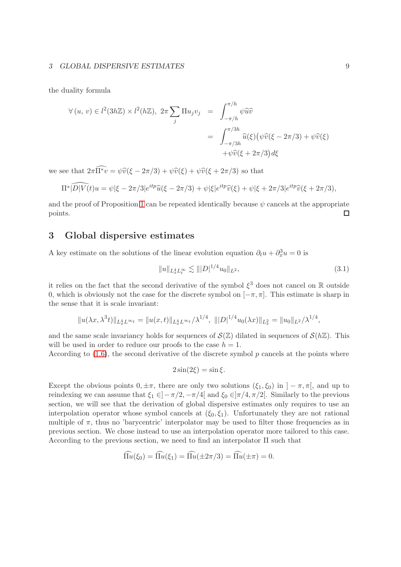#### 3 GLOBAL DISPERSIVE ESTIMATES 9

the duality formula

$$
\forall (u, v) \in l^{2}(3h\mathbb{Z}) \times l^{2}(h\mathbb{Z}), 2\pi \sum_{j} \Pi u_{j}v_{j} = \int_{-\pi/h}^{\pi/h} \psi \widehat{u}\widehat{v}
$$

$$
= \int_{-\pi/3h}^{\pi/3h} \widehat{u}(\xi) (\psi \widehat{v}(\xi - 2\pi/3) + \psi \widehat{v}(\xi))
$$

$$
+ \psi \widehat{v}(\xi + 2\pi/3) d\xi
$$

we see that  $2\pi \widehat{\Pi^*v} = \psi \widehat{v}(\xi - 2\pi/3) + \psi \widehat{v}(\xi) + \psi \widehat{v}(\xi + 2\pi/3)$  so that

$$
\Pi^* \widehat{|D|V(t)} u = \psi|\xi - 2\pi/3|e^{itp}\widehat{u}(\xi - 2\pi/3) + \psi|\xi|e^{itp}\widehat{v}(\xi) + \psi|\xi + 2\pi/3|e^{itp}\widehat{v}(\xi + 2\pi/3),
$$

and the proof of Proposition [1](#page-5-1) can be repeated identically because  $\psi$  cancels at the appropriate points.  $\Box$ 

# 3 Global dispersive estimates

A key estimate on the solutions of the linear evolution equation  $\partial_t u + \partial_x^3 u = 0$  is

$$
||u||_{L_x^4 L_t^\infty} \lesssim |||D|^{1/4} u_0||_{L^2},\tag{3.1}
$$

it relies on the fact that the second derivative of the symbol  $\xi^3$  does not cancel on R outside 0, which is obviously not the case for the discrete symbol on  $[-\pi, \pi]$ . This estimate is sharp in the sense that it is scale invariant:

$$
||u(\lambda x, \lambda^3 t)||_{L_x^4 L^{\infty}t} = ||u(x, t)||_{L_x^4 L^{\infty}t}/\lambda^{1/4}, |||D|^{1/4}u_0(\lambda x)||_{L_x^2} = ||u_0||_{L^2}/\lambda^{1/4},
$$

and the same scale invariancy holds for sequences of  $\mathcal{S}(\mathbb{Z})$  dilated in sequences of  $\mathcal{S}(h\mathbb{Z})$ . This will be used in order to reduce our proofs to the case  $h = 1$ .

According to  $(1.6)$ , the second derivative of the discrete symbol p cancels at the points where

$$
2\sin(2\xi) = \sin \xi.
$$

Except the obvious points  $0, \pm \pi$ , there are only two solutions  $(\xi_1, \xi_0)$  in  $]-\pi, \pi[$ , and up to reindexing we can assume that  $\xi_1 \in ]-\pi/2, -\pi/4[$  and  $\xi_0 \in ]\pi/4, \pi/2[$ . Similarly to the previous section, we will see that the derivation of global dispersive estimates only requires to use an interpolation operator whose symbol cancels at  $(\xi_0, \xi_1)$ . Unfortunately they are not rational multiple of  $\pi$ , thus no 'barycentric' interpolator may be used to filter those frequencies as in previous section. We chose instead to use an interpolation operator more tailored to this case. According to the previous section, we need to find an interpolator  $\Pi$  such that

$$
\widehat{\Pi u}(\xi_0) = \widehat{\Pi u}(\xi_1) = \widehat{\Pi u}(\pm 2\pi/3) = \widehat{\Pi u}(\pm \pi) = 0.
$$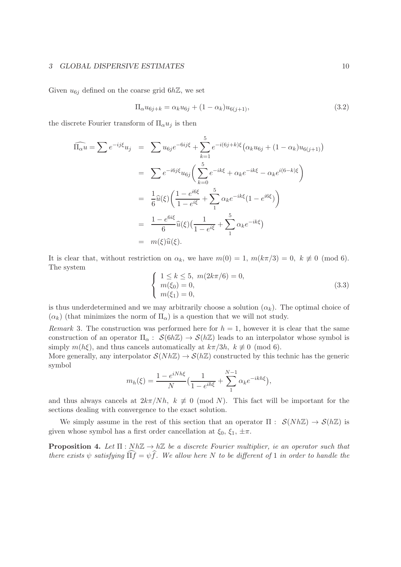#### 3 GLOBAL DISPERSIVE ESTIMATES 10

Given  $u_{6j}$  defined on the coarse grid  $6h\mathbb{Z}$ , we set

$$
\Pi_{\alpha} u_{6j+k} = \alpha_k u_{6j} + (1 - \alpha_k) u_{6(j+1)},
$$
\n(3.2)

the discrete Fourier transform of  $\Pi_{\alpha}u_i$  is then

$$
\widehat{\Pi_{\alpha}u} = \sum e^{-ij\xi} u_j = \sum u_{6j}e^{-6ij\xi} + \sum_{k=1}^{5} e^{-i(6j+k)\xi} (\alpha_k u_{6j} + (1 - \alpha_k)u_{6(j+1)})
$$
  
\n
$$
= \sum e^{-i6j\xi} u_{6j} \left( \sum_{k=0}^{5} e^{-ik\xi} + \alpha_k e^{-ik\xi} - \alpha_k e^{i(6-k)\xi} \right)
$$
  
\n
$$
= \frac{1}{6} \widehat{u}(\xi) \left( \frac{1 - e^{i6\xi}}{1 - e^{i\xi}} + \sum_{1}^{5} \alpha_k e^{-ik\xi} (1 - e^{i6\xi}) \right)
$$
  
\n
$$
= \frac{1 - e^{6i\xi}}{6} \widehat{u}(\xi) \left( \frac{1}{1 - e^{i\xi}} + \sum_{1}^{5} \alpha_k e^{-ik\xi} \right)
$$
  
\n
$$
= m(\xi) \widehat{u}(\xi).
$$

It is clear that, without restriction on  $\alpha_k$ , we have  $m(0) = 1$ ,  $m(k\pi/3) = 0$ ,  $k \not\equiv 0 \pmod{6}$ . The system

$$
\begin{cases}\n1 \le k \le 5, \ m(2k\pi/6) = 0, \\
m(\xi_0) = 0, \\
m(\xi_1) = 0,\n\end{cases}
$$
\n(3.3)

is thus underdetermined and we may arbitrarily choose a solution  $(\alpha_k)$ . The optimal choice of  $(\alpha_k)$  (that minimizes the norm of  $\Pi_{\alpha}$ ) is a question that we will not study.

<span id="page-9-0"></span>Remark 3. The construction was performed here for  $h = 1$ , however it is clear that the same construction of an operator  $\Pi_{\alpha}: \mathcal{S}(6h\mathbb{Z}) \to \mathcal{S}(h\mathbb{Z})$  leads to an interpolator whose symbol is simply  $m(h\xi)$ , and thus cancels automatically at  $k\pi/3h$ ,  $k \not\equiv 0 \pmod{6}$ .

More generally, any interpolator  $S(Nh\mathbb{Z}) \to S(h\mathbb{Z})$  constructed by this technic has the generic symbol

$$
m_h(\xi) = \frac{1 - e^{iNh\xi}}{N} \left( \frac{1}{1 - e^{ih\xi}} + \sum_{1}^{N-1} \alpha_k e^{-ikh\xi} \right),
$$

and thus always cancels at  $2k\pi/Nh$ ,  $k \neq 0 \pmod{N}$ . This fact will be important for the sections dealing with convergence to the exact solution.

We simply assume in the rest of this section that an operator  $\Pi : S(Nh\mathbb{Z}) \to S(h\mathbb{Z})$  is given whose symbol has a first order cancellation at  $\xi_0$ ,  $\xi_1$ ,  $\pm \pi$ .

<span id="page-9-1"></span>**Proposition 4.** Let  $\Pi : Nh\mathbb{Z} \to h\mathbb{Z}$  be a discrete Fourier multiplier, ie an operator such that there exists  $\psi$  satisfying  $\widehat{\Pi f} = \psi \widehat{f}$ . We allow here N to be different of 1 in order to handle the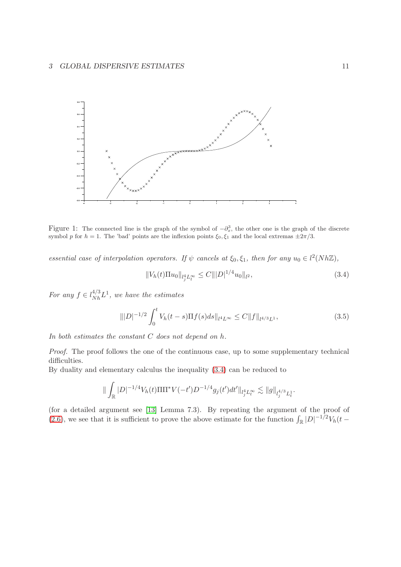

Figure 1: The connected line is the graph of the symbol of  $-\partial_x^3$ , the other one is the graph of the discrete symbol p for  $h = 1$ . The 'bad' points are the inflexion points  $\xi_0, \xi_1$  and the local extremas  $\pm 2\pi/3$ .

essential case of interpolation operators. If  $\psi$  cancels at  $\xi_0, \xi_1$ , then for any  $u_0 \in l^2(Nh\mathbb{Z})$ ,

<span id="page-10-0"></span>
$$
||V_h(t)\Pi u_0||_{l_j^4 L_v^{\infty}} \le C |||D|^{1/4} u_0||_{l^2},
$$
\n(3.4)

For any  $f \in l_{Nh}^{4/3}L^1$ , we have the estimates

<span id="page-10-1"></span>
$$
\| |D|^{-1/2} \int_0^t V_h(t-s) \Pi f(s) ds \|_{l^4 L^\infty} \le C \| f \|_{l^{4/3} L^1},
$$
\n(3.5)

In both estimates the constant C does not depend on h.

Proof. The proof follows the one of the continuous case, up to some supplementary technical difficulties.

By duality and elementary calculus the inequality [\(3.4\)](#page-10-0) can be reduced to

$$
\|\int_{\mathbb{R}} |D|^{-1/4} V_h(t) \Pi \Pi^* V(-t') D^{-1/4} g_j(t') dt' \|_{l_j^4 L^\infty_t} \lesssim \|g\|_{l_j^{4/3} L^1_t}.
$$

(for a detailed argument see [\[13\]](#page-43-8) Lemma 7.3). By repeating the argument of the proof of [\(2.6\)](#page-7-0), we see that it is sufficient to prove the above estimate for the function  $\int_{\mathbb{R}} |D|^{-1/2} V_h(t -$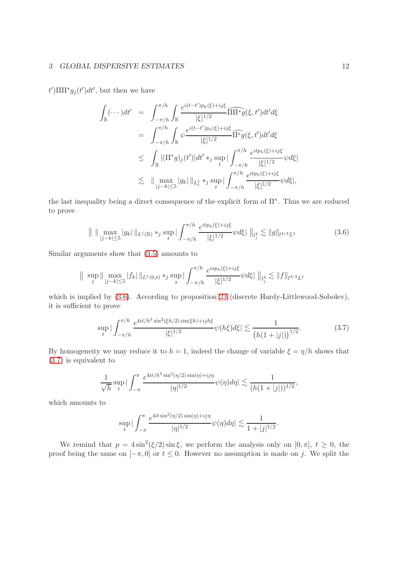### 3 GLOBAL DISPERSIVE ESTIMATES 12

 $t'$ ) $\Pi\Pi^*g_j(t')dt'$ , but then we have

$$
\int_{\mathbb{R}} (\cdots) dt' = \int_{-\pi/h}^{\pi/h} \int_{\mathbb{R}} \frac{e^{i(t-t')p_h(\xi) + ij\xi}}{|\xi|^{1/2}} \overline{\Pi}\overline{\Pi}\overline{\ast}g(\xi, t') dt' d\xi
$$
\n
$$
= \int_{-\pi/h}^{\pi/h} \int_{\mathbb{R}} \psi \frac{e^{i(t-t')p_h(\xi) + ij\xi}}{|\xi|^{1/2}} \overline{\Pi}\overline{\ast}g(\xi, t') dt' d\xi
$$
\n
$$
\leq \int_{\mathbb{R}} |(\Pi^*g)_j(t')| dt' \ast_j \sup_t |\int_{-\pi/h}^{\pi/h} \frac{e^{itp_h(\xi) + ij\xi}}{|\xi|^{1/2}} \psi d\xi|
$$
\n
$$
\lesssim \|\max_{|j-k| \leq 5} |g_k| \|_{L_t^1} \ast_j \sup_t |\int_{-\pi/h}^{\pi/h} \frac{e^{itp_h(\xi) + ij\xi}}{|\xi|^{1/2}} \psi d\xi|,
$$

the last inequality being a direct consequence of the explicit form of Π∗ . Thus we are reduced to prove

<span id="page-11-0"></span>
$$
\| \|\max_{|j-k| \le 5} |g_k| \|_{L^1(\mathbb{R})} *_{j} \sup_{t} |\int_{-\pi/h}^{\pi/h} \frac{e^{itp_h(\xi) + ij\xi}}{|\xi|^{1/2}} \psi d\xi| \|_{l_j^4} \lesssim \|g\|_{l^{4/3}L^1}
$$
(3.6)

Similar arguments show that [\(3.5\)](#page-10-1) amounts to

$$
\|\sup_{t}\|\max_{|j-k|\leq 5}|f_k|\|_{L^1(0,t)}\ast_j \sup_s |\int_{-\pi/h}^{\pi/h} \frac{e^{isp_h(\xi)+ij\xi}}{|\xi|^{1/2}}\psi d\xi|\|_{l_j^4} \lesssim \|f\|_{l^{4/3}L^1}
$$

which is implied by  $(3.6)$ . According to proposition [23](#page-37-0) (discrete Hardy-Littlewood-Sobolev), it is sufficient to prove

<span id="page-11-1"></span>
$$
\sup_{t} |\int_{-\pi/h}^{\pi/h} \frac{e^{4it/h^3 \sin^2(\xi h/2) \sin(\xi h) + ijh\xi}}{|\xi|^{1/2}} \psi(h\xi) d\xi| \lesssim \frac{1}{\left(h(1+|j|)\right)^{1/2}}.\tag{3.7}
$$

By homogeneity we may reduce it to  $h = 1$ , indeed the change of variable  $\xi = \eta/h$  shows that [\(3.7\)](#page-11-1) is equivalent to

$$
\frac{1}{\sqrt{h}}\sup_t |\int_{-\pi}^{\pi} \frac{e^{4it/h^3 \sin^2(\eta/2) \sin(\eta) + i j \eta}}{|\eta|^{1/2}} \psi(\eta) d\eta| \lesssim \frac{1}{(h(1+|j|))^{1/2}},
$$

which amounts to

$$
\sup_t |\int_{-\pi}^{\pi} \frac{e^{4it \sin^2(\eta/2) \sin(\eta) + i j \eta}}{|\eta|^{1/2}} \psi(\eta) d\eta| \lesssim \frac{1}{1 + |j|^{1/2}}.
$$

We remind that  $p = 4 \sin^2(\xi/2) \sin \xi$ , we perform the analysis only on  $[0, \pi]$ ,  $t \ge 0$ , the proof being the same on  $[-\pi, 0]$  or  $t \leq 0$ . However no assumption is made on j. We split the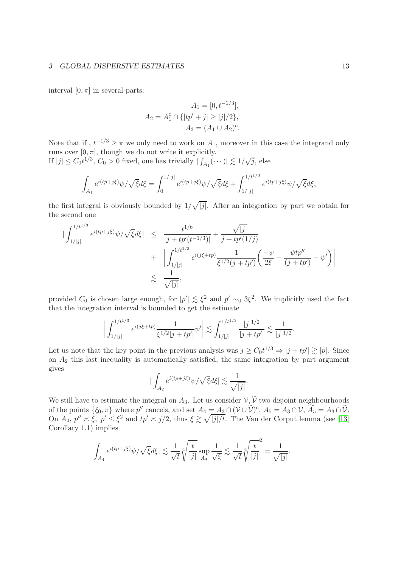interval  $[0, \pi]$  in several parts:

$$
A_1 = [0, t^{-1/3}],
$$
  
\n
$$
A_2 = A_1^c \cap \{|tp' + j| \ge |j|/2\},
$$
  
\n
$$
A_3 = (A_1 \cup A_2)^c.
$$

Note that if,  $t^{-1/3} \geq \pi$  we only need to work on  $A_1$ , moreover in this case the integrand only runs over  $[0, \pi]$ , though we do not write it explicitly. √

If 
$$
|j| \leq C_0 t^{1/3}
$$
,  $C_0 > 0$  fixed, one has trivially  $|\int_{A_1} (\cdots)| \lesssim 1/\sqrt{j}$ , else

$$
\int_{A_1} e^{i(tp+j\xi)}\psi/\sqrt{\xi}d\xi = \int_0^{1/|j|} e^{i(tp+j\xi)}\psi/\sqrt{\xi}d\xi + \int_{1/|j|}^{1/t^{1/3}} e^{i(tp+j\xi)}\psi/\sqrt{\xi}d\xi,
$$

the first integral is obviously bounded by  $1/\sqrt{|j|}$ . After an integration by part we obtain for the second one

$$
\begin{array}{rcl} \left| \int_{1/|j|}^{1/t^{1/3}} e^{i(tp+j\xi)} \psi / \sqrt{\xi} d\xi \right| & \leq & \frac{t^{1/6}}{|j+tp'(t^{-1/3})|} + \frac{\sqrt{|j|}}{j+tp'(1/j)} \\ & & + \left| \int_{1/|j|}^{1/t^{1/3}} e^{i(j\xi+tp)} \frac{1}{\xi^{1/2}(j+tp')} \left( \frac{-\psi}{2\xi} - \frac{\psi tp''}{(j+tp')} + \psi' \right) \right| \\ & \lesssim & \frac{1}{\sqrt{|j|}}, \end{array}
$$

provided  $C_0$  is chosen large enough, for  $|p'| \lesssim \xi^2$  and  $p' \sim_0 3\xi^2$ . We implicitly used the fact that the integration interval is bounded to get the estimate

$$
\left| \int_{1/|j|}^{1/t^{1/3}} e^{i(j\xi + tp)} \frac{1}{\xi^{1/2} |j + tp'|} \psi' \right| \lesssim \int_{1/|j|}^{1/t^{1/3}} \frac{|j|^{1/2}}{|j + tp'|} \lesssim \frac{1}{|j|^{1/2}}.
$$

Let us note that the key point in the previous analysis was  $j \geq C_0 t^{1/3} \Rightarrow |j + tp'| \gtrsim |p|$ . Since on  $A_2$  this last inequality is automatically satisfied, the same integration by part argument gives

$$
|\int_{A_2}e^{i(tp+j\xi)}\psi/\sqrt{\xi}d\xi|\lesssim \frac{1}{\sqrt{|j|}}.
$$

We still have to estimate the integral on  $A_3$ . Let us consider  $\mathcal{V}, \widetilde{\mathcal{V}}$  two disjoint neighbourhoods of the points  $\{\xi_0, \pi\}$  where p'' cancels, and set  $A_4 = A_3 \cap (\mathcal{V} \cup \mathcal{V})^c$ ,  $A_5 = A_3 \cap \mathcal{V}$ ,  $A_5 = A_3 \cap \mathcal{V}$ . On  $A_4$ ,  $p'' \approx \xi$ ,  $p' \leq \xi^2$  and  $tp' \approx j/2$ , thus  $\xi \gtrsim \sqrt{|j|/t}$ . The Van der Corput lemma (see [\[13\]](#page-43-8) Corollary 1.1) implies

$$
\int_{A_4} e^{i(tp+j\xi)} \psi/\sqrt{\xi} d\xi \le \frac{1}{\sqrt{t}} \sqrt[4]{\frac{t}{|j|}} \sup_{A_4} \frac{1}{\sqrt{\xi}} \lesssim \frac{1}{\sqrt{t}} \sqrt[4]{\frac{t}{|j|}}^2 = \frac{1}{\sqrt{|j|}}.
$$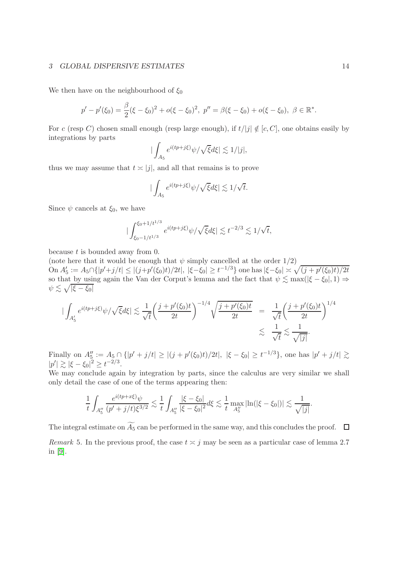#### 3 GLOBAL DISPERSIVE ESTIMATES 14

We then have on the neighbourhood of  $\xi_0$ 

$$
p'-p'(\xi_0)=\frac{\beta}{2}(\xi-\xi_0)^2+o(\xi-\xi_0)^2, \ p''=\beta(\xi-\xi_0)+o(\xi-\xi_0), \ \beta\in\mathbb{R}^*.
$$

For c (resp C) chosen small enough (resp large enough), if  $t/|j| \notin [c, C]$ , one obtains easily by integrations by parts

$$
|\int_{A_5} e^{i(tp+j\xi)} \psi/\sqrt{\xi}d\xi| \lesssim 1/|j|,
$$

thus we may assume that  $t \ge |j|$ , and all that remains is to prove

$$
|\int_{A_5} e^{i(tp+j\xi)} \psi / \sqrt{\xi} d\xi| \lesssim 1/\sqrt{t}.
$$

Since  $\psi$  cancels at  $\xi_0$ , we have

$$
|\int_{\xi_0 - 1/t^{1/3}}^{\xi_0 + 1/t^{1/3}} e^{i(tp + j\xi)} \psi / \sqrt{\xi} d\xi| \lesssim t^{-2/3} \lesssim 1/\sqrt{t},
$$

because  $t$  is bounded away from 0.

(note here that it would be enough that  $\psi$  simply cancelled at the order  $1/2$ )  $\text{On } A'_5 := A_5 \cap \{|p'+j/t| \leq |(j+p'(\xi_0)t)/2t|, |\xi-\xi_0| \geq t^{-1/3}\}\text{ one has } |\xi-\xi_0| \asymp \sqrt{(j+p'(\xi_0)t)/2t}$ so that by using again the Van der Corput's lemma and the fact that  $\psi \lesssim \max(|\xi - \xi_0|, 1) \Rightarrow$  $\psi \lesssim \sqrt{|\xi - \xi_0|}$ 

$$
\begin{aligned}\n|\int_{A_5'} e^{i(tp+j\xi)} \psi / \sqrt{\xi} d\xi & \le \frac{1}{\sqrt{t}} \left( \frac{j + p'(\xi_0)t}{2t} \right)^{-1/4} \sqrt{\frac{j + p'(\xi_0)t}{2t}} \\
&= \frac{1}{\sqrt{t}} \left( \frac{j + p'(\xi_0)t}{2t} \right)^{1/4} \\
&\lesssim \frac{1}{\sqrt{t}} \lesssim \frac{1}{\sqrt{|j|}}.\n\end{aligned}
$$

Finally on  $A''_5 := A_5 \cap \{|p' + j/t| \ge |(j + p'(\xi_0)t)/2t|, |\xi - \xi_0| \ge t^{-1/3}\},\$  one has  $|p' + j/t| \gtrsim$  $|p'| \gtrsim |\xi - \xi_0|^2 \geq t^{-2/3}.$ 

We may conclude again by integration by parts, since the calculus are very similar we shall only detail the case of one of the terms appearing then:

$$
\frac{1}{t} \int_{A_5''} \frac{e^{i(tp+x\xi)}\psi}{(p'+j/t)\xi^{3/2}} \lesssim \frac{1}{t} \int_{A_5''} \frac{|\xi-\xi_0|}{|\xi-\xi_0|^2} d\xi \lesssim \frac{1}{t} \max_{A_5''} |\ln(|\xi-\xi_0|)| \lesssim \frac{1}{\sqrt{|j|}}.
$$

The integral estimate on  $\widetilde{A_5}$  can be performed in the same way, and this concludes the proof.  $\Box$ 

Remark 5. In the previous proof, the case  $t \approx j$  may be seen as a particular case of lemma 2.7 in [\[9\]](#page-43-9).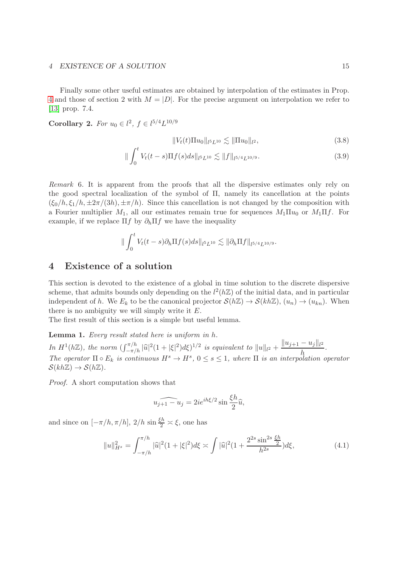#### 4 EXISTENCE OF A SOLUTION 15

Finally some other useful estimates are obtained by interpolation of the estimates in Prop. [4](#page-9-1) and those of section 2 with  $M = |D|$ . For the precise argument on interpolation we refer to [\[13\]](#page-43-8) prop. 7.4.

<span id="page-14-3"></span>**Corollary 2.** For  $u_0 \in l^2$ ,  $f \in l^{5/4}L^{10/9}$ 

<span id="page-14-0"></span>
$$
||V_t(t)\Pi u_0||_{l^5L^{10}} \lesssim ||\Pi u_0||_{l^2},
$$
\n(3.8)

$$
\|\int_0^t V_t(t-s)\Pi f(s)ds\|_{l^5L^{10}} \lesssim \|f\|_{l^{5/4}L^{10/9}}.\tag{3.9}
$$

<span id="page-14-1"></span>Remark 6. It is apparent from the proofs that all the dispersive estimates only rely on the good spectral localization of the symbol of  $\Pi$ , namely its cancellation at the points  $(\xi_0/h, \xi_1/h, \pm 2\pi/(3h), \pm \pi/h)$ . Since this cancellation is not changed by the composition with a Fourier multiplier  $M_1$ , all our estimates remain true for sequences  $M_1 \Pi u_0$  or  $M_1 \Pi f$ . For example, if we replace  $\Pi f$  by  $\partial_h \Pi f$  we have the inequality

$$
\|\int_0^t V_t(t-s)\partial_h \Pi f(s) ds\|_{l^5L^{10}} \lesssim \|\partial_h \Pi f\|_{l^{5/4}L^{10/9}}.
$$

# 4 Existence of a solution

This section is devoted to the existence of a global in time solution to the discrete dispersive scheme, that admits bounds only depending on the  $l^2(h\mathbb{Z})$  of the initial data, and in particular independent of h. We  $E_k$  to be the canonical projector  $\mathcal{S}(h\mathbb{Z}) \to \mathcal{S}(kh\mathbb{Z})$ ,  $(u_n) \to (u_{kn})$ . When there is no ambiguity we will simply write it  $E$ .

The first result of this section is a simple but useful lemma.

<span id="page-14-2"></span>Lemma 1. Every result stated here is uniform in h.

In  $H^1(h\mathbb{Z})$ , the norm  $(\int_{-\pi/h}^{\pi/h} |\widehat{u}|^2 (1+|\xi|^2) d\xi)^{1/2}$  is equivalent to  $||u||_{l^2} + \frac{||u_{j+1} - u_j||_{l^2}}{h}$  $\frac{d\mathbf{y}-d\mathbf{y}}{h}$ . The operator  $\Pi \circ E_k$  is continuous  $H^s \to H^s$ ,  $0 \leq s \leq 1$ , where  $\Pi$  is an interpolation operator  $\mathcal{S}(kh\mathbb{Z}) \to \mathcal{S}(h\mathbb{Z}).$ 

Proof. A short computation shows that

$$
\widehat{u_{j+1} - u_j} = 2ie^{ih\xi/2}\sin\frac{\xi h}{2}\widehat{u},
$$

and since on  $[-\pi/h, \pi/h]$ ,  $2/h \sin \frac{\xi h}{2} \approx \xi$ , one has

$$
||u||_{H^s}^2 = \int_{-\pi/h}^{\pi/h} |\widehat{u}|^2 (1+|\xi|^2) d\xi \asymp \int |\widehat{u}|^2 (1+\frac{2^{2s} \sin^{2s} \frac{\xi h}{2}}{h^{2s}}) d\xi,
$$
 (4.1)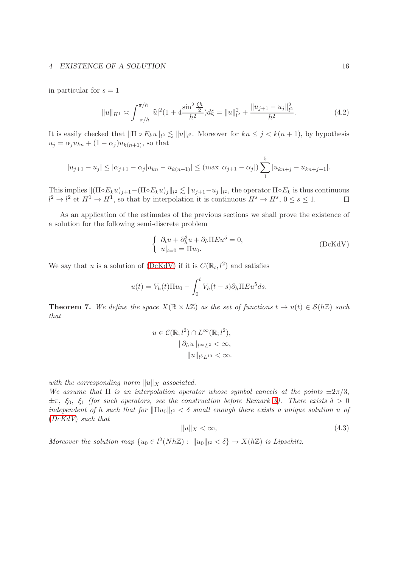#### 4 EXISTENCE OF A SOLUTION 16

in particular for  $s = 1$ 

$$
||u||_{H^1} \asymp \int_{-\pi/h}^{\pi/h} |\widehat{u}|^2 (1 + 4 \frac{\sin^2 \frac{\xi h}{2}}{h^2}) d\xi = ||u||_{l^2}^2 + \frac{||u_{j+1} - u_j||_{l^2}^2}{h^2}.
$$
 (4.2)

It is easily checked that  $\|\Pi \circ E_k u\|_{l^2} \lesssim \|u\|_{l^2}$ . Moreover for  $kn \leq j < k(n+1)$ , by hypothesis  $u_j = \alpha_j u_{kn} + (1 - \alpha_j) u_{k(n+1)}$ , so that

$$
|u_{j+1} - u_j| \leq |\alpha_{j+1} - \alpha_j|u_{kn} - u_{k(n+1)}| \leq (\max |\alpha_{j+1} - \alpha_j|) \sum_{1}^{5} |u_{kn+j} - u_{kn+j-1}|.
$$

This implies  $\|(\Pi \circ E_k u)_{j+1} - (\Pi \circ E_k u)_j\|_{l^2} \lesssim \|u_{j+1}-u_j\|_{l^2}$ , the operator  $\Pi \circ E_k$  is thus continuous  $l^2 \to l^2$  et  $H^1 \to H^1$ , so that by interpolation it is continuous  $H^s \to H^s$ ,  $0 \le s \le 1$ .

As an application of the estimates of the previous sections we shall prove the existence of a solution for the following semi-discrete problem

<span id="page-15-0"></span>
$$
\begin{cases}\n\partial_t u + \partial_h^3 u + \partial_h \Pi E u^5 = 0, \\
u|_{t=0} = \Pi u_0.\n\end{cases}
$$
\n
$$
(DcKdV)
$$

We say that u is a solution of [\(DcKdV\)](#page-15-0) if it is  $C(\mathbb{R}_t, l^2)$  and satisfies

$$
u(t) = V_h(t)\Pi u_0 - \int_0^t V_h(t-s)\partial_h \Pi E u^5 ds.
$$

<span id="page-15-1"></span>**Theorem 7.** We define the space  $X(\mathbb{R} \times h\mathbb{Z})$  as the set of functions  $t \to u(t) \in \mathcal{S}(h\mathbb{Z})$  such that

$$
u \in \mathcal{C}(\mathbb{R}; l^2) \cap L^{\infty}(\mathbb{R}; l^2),
$$

$$
\|\partial_h u\|_{l^{\infty}L^2} < \infty,
$$

$$
\|u\|_{l^5L^{10}} < \infty.
$$

with the corresponding norm  $||u||_X$  associated.

We assume that  $\Pi$  is an interpolation operator whose symbol cancels at the points  $\pm 2\pi/3$ ,  $\pm\pi$ ,  $\xi_0$ ,  $\xi_1$  (for such operators, see the construction before Remark [3\)](#page-9-0). There exists  $\delta > 0$ independent of h such that for  $\|\Pi u_0\|_{l^2} < \delta$  small enough there exists a unique solution u of ([DcKdV](#page-15-0)) such that

$$
||u||_X < \infty,\t\t(4.3)
$$

Moreover the solution map  $\{u_0 \in l^2(Nh\mathbb{Z}): ||u_0||_{l^2} < \delta\} \to X(h\mathbb{Z})$  is Lipschitz.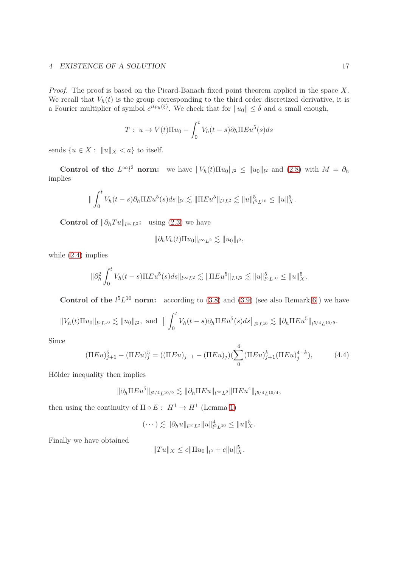### 4 EXISTENCE OF A SOLUTION 17

Proof. The proof is based on the Picard-Banach fixed point theorem applied in the space X. We recall that  $V_h(t)$  is the group corresponding to the third order discretized derivative, it is a Fourier multiplier of symbol  $e^{itp_h(\xi)}$ . We check that for  $||u_0|| \leq \delta$  and a small enough,

$$
T: u \to V(t)\Pi u_0 - \int_0^t V_h(t-s)\partial_h \Pi E u^5(s)ds
$$

sends  $\{u \in X : ||u||_X < a\}$  to itself.

Control of the  $L^{\infty}l^2$  norm: we have  $||V_h(t)\Pi u_0||_{l^2} \le ||u_0||_{l^2}$  and [\(2.8\)](#page-7-0) with  $M = \partial_h$ implies

$$
\|\int_0^t V_h(t-s)\partial_h \Pi E u^5(s) ds\|_{l^2} \lesssim \|\Pi E u^5\|_{l^1 L^2} \lesssim \|u\|_{l^5 L^{10}}^5 \le \|u\|_{X}^5.
$$

Control of  $\|\partial_h Tu\|_{l^{\infty}L^2}$ : using [\(2.3\)](#page-5-0) we have

$$
\|\partial_h V_h(t)\Pi u_0\|_{l^\infty L^2} \lesssim \|u_0\|_{l^2},
$$

while [\(2.4\)](#page-6-0) implies

$$
\|\partial_h^2 \int_0^t V_h(t-s)\Pi E u^5(s) ds\|_{l^{\infty}L^2} \lesssim \|\Pi E u^5\|_{L^1 l^2} \lesssim \|u\|_{l^5 L^{10}}^5 \le \|u\|_X^5.
$$

**Control of the**  $l^5L^{10}$  norm: according to [\(3.8\)](#page-14-0) and [\(3.9\)](#page-14-0) (see also Remark [6](#page-14-1)) we have

$$
||V_h(t)\Pi u_0||_{l^5L^{10}} \lesssim ||u_0||_{l^2}, \text{ and } ||\int_0^t V_h(t-s)\partial_h \Pi E u^5(s)ds||_{l^5L^{10}} \lesssim ||\partial_h \Pi E u^5||_{l^{5/4}L^{10/9}}.
$$

Since

$$
(\Pi Eu)_{j+1}^5 - (\Pi Eu)_j^5 = ((\Pi Eu)_{j+1} - (\Pi Eu)_j)(\sum_0^4 (\Pi Eu)_{j+1}^k (\Pi Eu)_j^{4-k}),
$$
 (4.4)

Hölder inequality then implies

$$
\|\partial_h \Pi E u^5\|_{l^{5/4}L^{10/9}} \lesssim \|\partial_h \Pi E u\|_{l^{\infty}L^2} \|\Pi E u^4\|_{l^{5/4}L^{10/4}},
$$

then using the continuity of  $\Pi \circ E: H^1 \to H^1$  (Lemma [1\)](#page-14-2)

$$
(\cdots) \lesssim \|\partial_h u\|_{l^{\infty}L^2} \|u\|_{l^5L^{10}}^4 \leq \|u\|_{X}^5.
$$

Finally we have obtained

$$
||Tu||_X \le c||\Pi u_0||_{l^2} + c||u||_X^5.
$$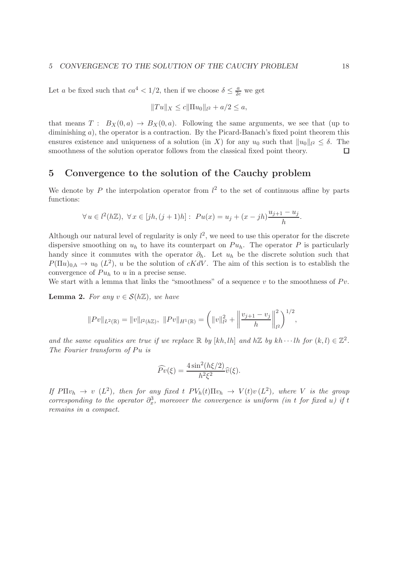Let a be fixed such that  $ca^4 < 1/2$ , then if we choose  $\delta \leq \frac{a}{2c}$  we get

$$
||Tu||_X \le c||\Pi u_0||_{l^2} + a/2 \le a,
$$

that means  $T : B_X(0, a) \to B_X(0, a)$ . Following the same arguments, we see that (up to diminishing  $a$ ), the operator is a contraction. By the Picard-Banach's fixed point theorem this ensures existence and uniqueness of a solution (in X) for any  $u_0$  such that  $||u_0||_{l^2} \leq \delta$ . The smoothness of the solution operator follows from the classical fixed point theory.

# 5 Convergence to the solution of the Cauchy problem

We denote by P the interpolation operator from  $l^2$  to the set of continuous affine by parts functions:

$$
\forall u \in l^{2}(h\mathbb{Z}), \ \forall x \in [jh, (j+1)h]: \ Pu(x) = u_j + (x - jh)\frac{u_{j+1} - u_j}{h}.
$$

Although our natural level of regularity is only  $l^2$ , we need to use this operator for the discrete dispersive smoothing on  $u_h$  to have its counterpart on  $Pu_h$ . The operator P is particularly handy since it commutes with the operator  $\partial_h$ . Let  $u_h$  be the discrete solution such that  $P(\Pi u)_{0,h} \to u_0$  ( $L^2$ ), u be the solution of cKdV. The aim of this section is to establish the convergence of  $Pu<sub>h</sub>$  to u in a precise sense.

We start with a lemma that links the "smoothness" of a sequence  $v$  to the smoothness of  $P v$ .

<span id="page-17-0"></span>**Lemma 2.** For any  $v \in \mathcal{S}(h\mathbb{Z})$ , we have

$$
||Pv||_{L^{2}(\mathbb{R})} = ||v||_{l^{2}(h\mathbb{Z})}, \ ||Pv||_{H^{1}(\mathbb{R})} = \left(||v||_{l^{2}}^{2} + \left||\frac{v_{j+1} - v_{j}}{h}\right||_{l^{2}}^{2}\right)^{1/2},
$$

and the same equalities are true if we replace  $\mathbb R$  by  $[kh, lh]$  and  $h\mathbb Z$  by  $kh \cdots lh$  for  $(k, l) \in \mathbb Z^2$ . The Fourier transform of  $Pu$  is

$$
\widehat{Pv}(\xi) = \frac{4\sin^2(h\xi/2)}{h^2\xi^2}\widehat{v}(\xi).
$$

If  $P\Pi v_h \to v (L^2)$ , then for any fixed t  $PV_h(t) \Pi v_h \to V(t)v (L^2)$ , where V is the group corresponding to the operator  $\partial_x^3$ , moreover the convergence is uniform (in t for fixed u) if t remains in a compact.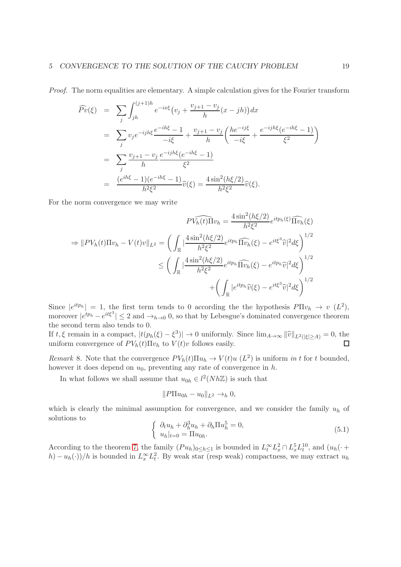Proof. The norm equalities are elementary. A simple calculation gives for the Fourier transform

$$
\widehat{Pv}(\xi) = \sum_{j} \int_{jh}^{(j+1)h} e^{-ix\xi} (v_j + \frac{v_{j+1} - v_j}{h} (x - jh)) dx
$$
  
\n
$$
= \sum_{j} v_j e^{-ijh\xi} \frac{e^{-ih\xi} - 1}{-i\xi} + \frac{v_{j+1} - v_j}{h} \left( \frac{he^{-ij\xi}}{-i\xi} + \frac{e^{-ijh\xi} (e^{-ih\xi} - 1)}{\xi^2} \right)
$$
  
\n
$$
= \sum_{j} \frac{v_{j+1} - v_j}{h} \frac{e^{-ijh\xi} (e^{-ih\xi} - 1)}{\xi^2}
$$
  
\n
$$
= \frac{(e^{ih\xi} - 1)(e^{-ih\xi} - 1)}{h^2 \xi^2} \widehat{v}(\xi) = \frac{4 \sin^2(h\xi/2)}{h^2 \xi^2} \widehat{v}(\xi).
$$

For the norm convergence we may write

$$
PV_h(t)\Pi v_h = \frac{4\sin^2(h\xi/2)}{h^2\xi^2}e^{itp_h(\xi)}\widehat{\Pi v_h}(\xi)
$$
  
\n
$$
\Rightarrow ||PV_h(t)\Pi v_h - V(t)v||_{L^2} = \left(\int_{\mathbb{R}} \left|\frac{4\sin^2(h\xi/2)}{h^2\xi^2}e^{itp_h}\widehat{\Pi v_h}(\xi) - e^{it\xi^3}\widehat{v}\right|^2 d\xi\right)^{1/2}
$$
  
\n
$$
\leq \left(\int_{\mathbb{R}} \left|\frac{4\sin^2(h\xi/2)}{h^2\xi^2}e^{itp_h}\widehat{\Pi v_h}(\xi) - e^{itp_h}\widehat{v}\right|^2 d\xi\right)^{1/2}
$$
  
\n
$$
+ \left(\int_{\mathbb{R}} |e^{itp_h}\widehat{v}(\xi) - e^{it\xi^3}\widehat{v}\right|^2 d\xi\right)^{1/2}
$$

Since  $|e^{itp_h}| = 1$ , the first term tends to 0 according the the hypothesis  $P\Pi v_h \to v(L^2)$ , moreover  $|e^{tp_h} - e^{it\xi^3}| \leq 2$  and  $\rightarrow_{h\to 0} 0$ , so that by Lebesgue's dominated convergence theorem the second term also tends to 0.

If  $t, \xi$  remain in a compact,  $|t(p_h(\xi) - \xi^3)| \to 0$  uniformly. Since  $\lim_{A \to \infty} ||\hat{v}||_{L^2(|\xi| \ge A)} = 0$ , the uniform convergence of  $PV_h(t)\Pi v_h$  to  $V(t)v$  follows easily.

Remark 8. Note that the convergence  $PV_h(t)\Pi u_h \to V(t)u(L^2)$  is uniform in t for t bounded, however it does depend on  $u_0$ , preventing any rate of convergence in  $h$ .

In what follows we shall assume that  $u_{0h} \in l^2(Nh\mathbb{Z})$  is such that

$$
||P\Pi u_{0h} - u_0||_{L^2} \to_h 0,
$$

which is clearly the minimal assumption for convergence, and we consider the family  $u_h$  of solutions to

$$
\begin{cases}\n\partial_t u_h + \partial_h^3 u_h + \partial_h \Pi u_h^5 = 0, \\
u_h|_{t=0} = \Pi u_{0h}.\n\end{cases}
$$
\n(5.1)

According to the theorem [7,](#page-15-1) the family  $(Pu_h)_{0 \leq h \leq 1}$  is bounded in  $L_t^{\infty} L_x^2 \cap L_x^5 L_t^{10}$ , and  $(u_h(\cdot +$  $(h) - u_h(\cdot))/h$  is bounded in  $L_x^{\infty} L_t^2$ . By weak star (resp weak) compactness, we may extract  $u_h$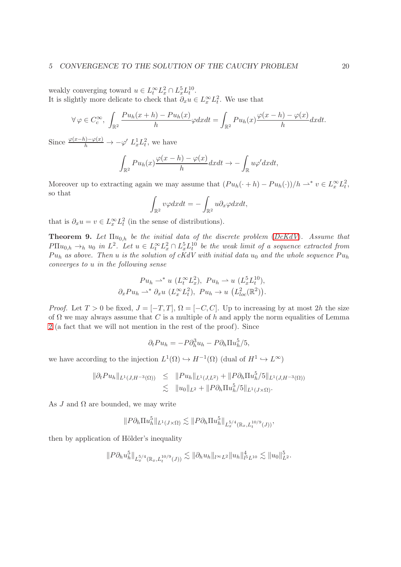weakly converging toward  $u \in L_t^{\infty} L_x^2 \cap L_x^5 L_t^{10}$ . It is slightly more delicate to check that  $\partial_x u \in L^\infty_x L^2_t$ . We use that

$$
\forall \varphi \in C_c^{\infty}, \ \int_{\mathbb{R}^2} \frac{Pu_h(x+h) - Pu_h(x)}{h} \varphi dx dt = \int_{\mathbb{R}^2} Pu_h(x) \frac{\varphi(x-h) - \varphi(x)}{h} dx dt.
$$

Since  $\frac{\varphi(x-h)-\varphi(x)}{h} \to -\varphi' L_x^1 L_t^2$ , we have

$$
\int_{\mathbb{R}^2} Pu_h(x) \frac{\varphi(x-h) - \varphi(x)}{h} dx dt \to -\int_{\mathbb{R}} u \varphi' dx dt,
$$

Moreover up to extracting again we may assume that  $(Pu_h(\cdot + h) - Pu_h(\cdot))/h \rightharpoonup^* v \in L_x^{\infty}L_t^2$ , so that

$$
\int_{\mathbb{R}^2} v\varphi dxdt = -\int_{\mathbb{R}^2} u\partial_x\varphi dxdt,
$$

that is  $\partial_x u = v \in L_x^{\infty} L_t^2$  (in the sense of distributions).

<span id="page-19-0"></span>**Theorem 9.** Let  $\Pi u_{0,h}$  be the initial data of the discrete problem ([DcKdV](#page-15-0)). Assume that  $P\Pi u_{0,h} \to_h u_0$  in  $L^2$ . Let  $u \in L_t^{\infty} L_x^2 \cap L_x^5 L_t^{10}$  be the weak limit of a sequence extracted from  $Pu<sub>h</sub>$  as above. Then u is the solution of cKdV with initial data  $u<sub>0</sub>$  and the whole sequence  $Pu<sub>h</sub>$ converges to u in the following sense

$$
Pu_h \rightharpoonup^* u (L_t^{\infty} L_x^2), Pu_h \rightharpoonup u (L_x^5 L_t^{10}),
$$
  

$$
\partial_x Pu_h \rightharpoonup^* \partial_x u (L_x^{\infty} L_t^2), Pu_h \rightharpoonup u (L_{loc}^2(\mathbb{R}^2)).
$$

*Proof.* Let  $T > 0$  be fixed,  $J = [-T, T]$ ,  $\Omega = [-C, C]$ . Up to increasing by at most 2h the size of  $\Omega$  we may always assume that C is a multiple of h and apply the norm equalities of Lemma [2](#page-17-0) (a fact that we will not mention in the rest of the proof). Since

$$
\partial_t Pu_h = -P \partial_h^3 u_h - P \partial_h \Pi u_h^5 / 5,
$$

we have according to the injection  $L^1(\Omega) \hookrightarrow H^{-1}(\Omega)$  (dual of  $H^1 \hookrightarrow L^{\infty}$ )

$$
\|\partial_t Pu_h\|_{L^1(J, H^{-3}(\Omega))} \leq \|Pu_h\|_{L^1(J, L^2)} + \|P\partial_h \Pi u_h^5/5\|_{L^1(J, H^{-3}(\Omega))}
$$
  

$$
\lesssim \|u_0\|_{L^2} + \|P\partial_h \Pi u_h^5/5\|_{L^1(J \times \Omega)}.
$$

As J and  $\Omega$  are bounded, we may write

$$
||P\partial_h \Pi u_h^5||_{L^1(J\times\Omega)} \lesssim ||P\partial_h \Pi u_h^5||_{L_x^{5/4}(\mathbb{R}_x, L_t^{10/9}(J))},
$$

then by application of Hölder's inequality

$$
||P\partial_h u_h^5||_{L_x^{5/4}(\mathbb{R}_x, L_t^{10/9}(J))} \lesssim ||\partial_h u_h||_{l^{\infty}L^2} ||u_h||_{l^5L^{10}}^4 \lesssim ||u_0||_{L^2}^5.
$$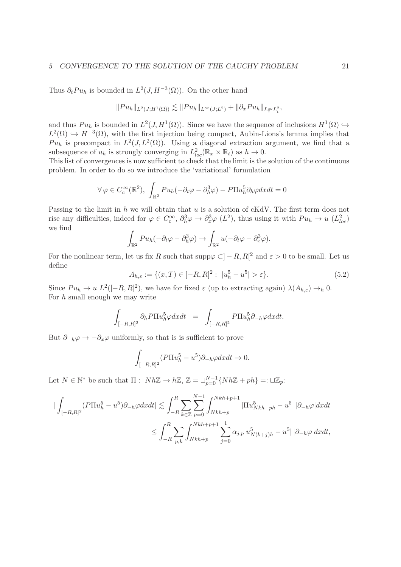#### 5 CONVERGENCE TO THE SOLUTION OF THE CAUCHY PROBLEM 21

Thus  $\partial_t P u_h$  is bounded in  $L^2(J, H^{-3}(\Omega))$ . On the other hand

$$
||Pu_h||_{L^2(J;H^1(\Omega))} \lesssim ||Pu_h||_{L^{\infty}(J;L^2)} + ||\partial_x Pu_h||_{L^{\infty}_x L^2_t},
$$

and thus  $Pu_h$  is bounded in  $L^2(J, H^1(\Omega))$ . Since we have the sequence of inclusions  $H^1(\Omega) \hookrightarrow$  $L^2(\Omega) \hookrightarrow H^{-3}(\Omega)$ , with the first injection being compact, Aubin-Lions's lemma implies that  $Pu<sub>h</sub>$  is precompact in  $L^2(J, L^2(\Omega))$ . Using a diagonal extraction argument, we find that a subsequence of  $u_h$  is strongly converging in  $L^2_{loc}(\mathbb{R}_x \times \mathbb{R}_t)$  as  $h \to 0$ .

This list of convergences is now sufficient to check that the limit is the solution of the continuous problem. In order to do so we introduce the 'variational' formulation

$$
\forall \varphi \in C_c^{\infty}(\mathbb{R}^2), \int_{\mathbb{R}^2} Pu_h(-\partial_t \varphi - \partial_h^3 \varphi) - P\Pi u_h^5 \partial_h \varphi dx dt = 0
$$

Passing to the limit in  $h$  we will obtain that  $u$  is a solution of cKdV. The first term does not rise any difficulties, indeed for  $\varphi \in C_c^{\infty}$ ,  $\partial_h^3 \varphi \to \partial_x^3 \varphi$   $(L^2)$ , thus using it with  $Pu_h \to u(L_{loc}^2)$ we find

$$
\int_{\mathbb{R}^2} Pu_h(-\partial_t \varphi - \partial_h^3 \varphi) \to \int_{\mathbb{R}^2} u(-\partial_t \varphi - \partial_x^3 \varphi).
$$

For the nonlinear term, let us fix R such that  $\text{supp}\varphi \subset ]-R, R[^2$  and  $\varepsilon > 0$  to be small. Let us define

$$
A_{h,\varepsilon} := \{ (x,T) \in [-R,R]^2 : \ |u_h^5 - u^5| > \varepsilon \}. \tag{5.2}
$$

Since  $Pu_h \to u L^2([-R,R]^2)$ , we have for fixed  $\varepsilon$  (up to extracting again)  $\lambda(A_{h,\varepsilon}) \to_h 0$ . For  $h$  small enough we may write

$$
\int_{[-R,R]^2} \partial_h P \Pi u_h^5 \varphi dxdt = \int_{[-R,R]^2} P \Pi u_h^5 \partial_{-h} \varphi dxdt.
$$

But  $\partial_{-h}\varphi \to -\partial_x\varphi$  uniformly, so that is is sufficient to prove

$$
\int_{[-R,R]^2} (P\Pi u_h^5 - u^5) \partial_{-h} \varphi dxdt \to 0.
$$

Let  $N \in \mathbb{N}^*$  be such that  $\Pi : Nh\mathbb{Z} \to h\mathbb{Z}, \mathbb{Z} = \sqcup_{p=0}^{N-1} \{Nh\mathbb{Z} + ph\} =: \sqcup \mathbb{Z}_p$ :

$$
\begin{split} \big| \int_{[-R,R]^2} (P \Pi u_h^5 - u^5) \partial_{-h} \varphi dx dt \big| &\lesssim \int_{-R}^R \sum_{k \in \mathbb{Z}} \sum_{p=0}^{N-1} \int_{Nkh+p}^{Nkh+p+1} |\Pi u_{Nkh+ph}^5 - u^5| \, |\partial_{-h} \varphi| dx dt \\ &\le \int_{-R}^R \sum_{p,k} \int_{Nkh+p}^{Nkh+p+1} \sum_{j=0}^1 \alpha_{j,p} |u_{N(k+j)h}^5 - u^5| \, |\partial_{-h} \varphi| dx dt, \end{split}
$$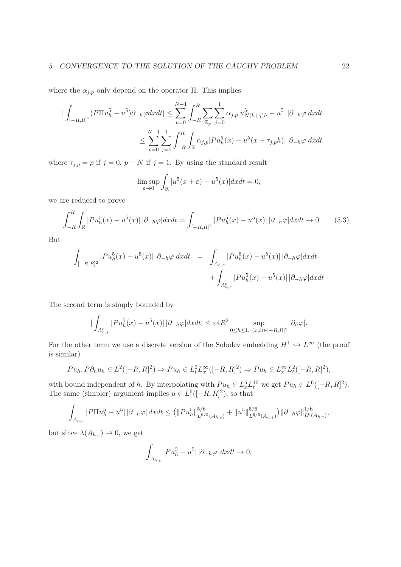where the  $\alpha_{j,p}$  only depend on the operator Π. This implies

$$
\begin{aligned} \left| \int_{[-R,R]^2} (P \Pi u_h^5 - u^5) \partial_{-h} \varphi dx dt \right| &\leq \sum_{p=0}^{N-1} \int_{-R}^R \sum_{\mathbb{Z}_p} \sum_{j=0}^1 \alpha_{j,p} |u_N^5|_{(k+j)h} - u^5| \, |\partial_{-h} \varphi| dx dt \\ &\leq \sum_{p=0}^{N-1} \sum_{j=0}^1 \int_{-R}^R \int_{\mathbb{R}} \alpha_{j,p} |Pu_h^5(x) - u^5(x + \tau_{j,p}h)| \, |\partial_{-h} \varphi| dx dt \end{aligned}
$$

where  $\tau_{j,p} = p$  if  $j = 0, p - N$  if  $j = 1$ . By using the standard result

$$
\limsup_{\varepsilon \to 0} \int_{\mathbb{R}} |u^5(x + \varepsilon) - u^5(x)| dx dt = 0,
$$

we are reduced to prove

$$
\int_{-R}^{R} \int_{\mathbb{R}} |Pu_{h}^{5}(x) - u^{5}(x)||\partial_{-h}\varphi|dxdt = \int_{[-R,R]^{2}} |Pu_{h}^{5}(x) - u^{5}(x)||\partial_{-h}\varphi|dxdt \to 0.
$$
 (5.3)

But

$$
\int_{[-R,R]^2} |Pu_h^5(x) - u^5(x)| |\partial_{-h}\varphi| dx dt = \int_{A_{h,\varepsilon}} |Pu_h^5(x) - u^5(x)| |\partial_{-h}\varphi| dx dt + \int_{A_{h,\varepsilon}^c} |Pu_h^5(x) - u^5(x)| |\partial_{-h}\varphi| dx dt
$$

The second term is simply bounded by

$$
\left|\int_{A_{h,\varepsilon}^c} |Pu_h^5(x) - u^5(x)| \, |\partial_{-h}\varphi| dx dt\right| \leq \varepsilon 4R^2 \sup_{0 \leq h \leq 1, \ (x,t) \in [-R,R]^2} |\partial_h \varphi|.
$$

For the other term we use a discrete version of the Sobolev embedding  $H^1 \hookrightarrow L^{\infty}$  (the proof is similar)

$$
Pu_h, P\partial_h u_h \in L^2([-R,R]^2) \Rightarrow Pu_h \in L^2_t L^{\infty}_x([-R,R]^2) \Rightarrow Pu_h \in L^{\infty}_x L^2_t([-R,R]^2),
$$

with bound independent of h. By interpolating with  $Pu_h \in L_x^5 L_y^{10}$  we get  $Pu_h \in L^6([-R, R]^2)$ . The same (simpler) argument implies  $u \in L^6([-R, R]^2)$ , so that

$$
\int_{A_{h,\varepsilon}}|P\Pi u_{h}^{5}-u^{5}|\,|\partial_{-h}\varphi|\,dxdt\leq \left(\|Pu_{h}^{5}\|_{L^{6/5}(A_{h,\varepsilon})}^{5/6}+\|u^{5}\|_{L^{6/5}(A_{h,\varepsilon})}^{5/6}\right)\|\partial_{-h}\varphi\|_{L^{6}(A_{h,\varepsilon})}^{1/6},
$$

but since  $\lambda(A_{h,\varepsilon}) \to 0$ , we get

$$
\int_{A_{h,\varepsilon}}|Pu_{h}^5 - u^5| \, |\partial_{-h}\varphi| \, dxdt \to 0.
$$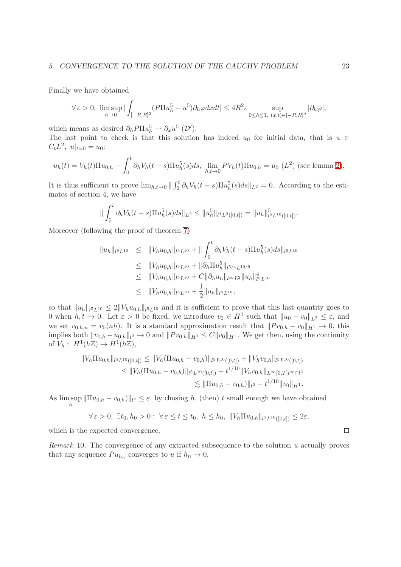Finally we have obtained

$$
\forall \varepsilon > 0, \ \limsup_{h \to 0} |\int_{[-R,R]^2} (P \Pi u_h^5 - u^5) \partial_h \varphi dx dt| \leq 4R^2 \varepsilon \sup_{0 \leq h \leq 1, \ (x,t) \in [-R,R]^2} |\partial_h \varphi|,
$$

which means as desired  $\partial_h P \Pi u_h^5 \rightharpoonup \partial_x u^5 \; (\mathcal{D}')$ .

The last point to check is that this solution has indeed  $u_0$  for initial data, that is  $u \in$  $C_t L^2$ ,  $u|_{t=0} = u_0$ :

$$
u_h(t) = V_h(t)\Pi u_{0,h} - \int_0^t \partial_h V_h(t-s)\Pi u_h^5(s)ds, \lim_{h,t\to 0} PV_h(t)\Pi u_{0,h} = u_0 (L^2)
$$
 (see lemma 2).

It is thus sufficient to prove  $\lim_{h,t\to 0} \| \int_0^t \partial_h V_h(t-s) \Pi u_h^5(s) ds \|_{L^2} = 0$ . According to the estimates of section 4, we have

$$
\|\int_0^t \partial_h V_h(t-s) \Pi u_h^5(s) ds\|_{L^2} \leq \|u_h^5\|_{l^1 L^2([0,t])} = \|u_h\|_{l^5 L^{10}([0,t])}^5.
$$

Moreover (following the proof of theorem [7\)](#page-15-1)

$$
\|u_h\|_{l^5L^{10}} \leq \|V_h u_{0,h}\|_{l^5L^{10}} + \|\int_0^t \partial_h V_h(t-s) \Pi u_h^5(s) ds\|_{l^5L^{10}}
$$
  
\n
$$
\leq \|V_h u_{0,h}\|_{l^5L^{10}} + \|\partial_h \Pi u_h^5\|_{l^5/4L^{10/9}}
$$
  
\n
$$
\leq \|V_h u_{0,h}\|_{l^5L^{10}} + C \|\partial_h u_h\|_{l^\infty L^2} \|u_h\|_{l^5L^{10}}
$$
  
\n
$$
\leq \|V_h u_{0,h}\|_{l^5L^{10}} + \frac{1}{2} \|u_h\|_{l^5L^{10}},
$$

so that  $||u_h||_{l^5L^{10}} \leq 2||V_hu_{0,h}||_{l^5L^{10}}$  and it is sufficient to prove that this last quantity goes to 0 when  $h, t \to 0$ . Let  $\varepsilon > 0$  be fixed, we introduce  $v_0 \in H^1$  such that  $||u_0 - v_0||_{L^2} \leq \varepsilon$ , and we set  $v_{0,h,n} = v_0(nh)$ . It is a standard approximation result that  $||P v_{0,h} - v_0||_{H^1} \to 0$ , this implies both  $||v_{0,h} - u_{0,h}||_{l^2} \to 0$  and  $||P v_{0,h}||_{H^1} \leq C||v_0||_{H^1}$ . We get then, using the continuity of  $V_h: H^1(h\mathbb{Z}) \to H^1(h\mathbb{Z}),$ 

$$
||V_h \Pi u_{0,h}||_{l^5 L^{10}([0,t])} \le ||V_h(\Pi u_{0,h} - v_{0,h})||_{l^5 L^{10}([0,t])} + ||V_h v_{0,h}||_{l^5 L^{10}([0,t])}
$$
  
\n
$$
\le ||V_h(\Pi u_{0,h} - v_{0,h})||_{l^5 L^{10}([0,t])} + t^{1/10} ||V_h v_{0,h}||_{L^{\infty}[0,T] \times \cap l^2}
$$
  
\n
$$
\lesssim ||\Pi u_{0,h} - v_{0,h})||_{l^2} + t^{1/10} ||v_0||_{H^1}.
$$

As  $\limsup_{h} \|\Pi u_{0,h} - v_{0,h}\|_{l^2} \leq \varepsilon$ , by chosing h, (then) t small enough we have obtained h

$$
\forall \varepsilon > 0, \ \exists t_0, h_0 > 0: \ \forall \varepsilon \le t \le t_0, \ h \le h_0, \ \Vert V_h \Pi u_{0,h} \Vert_{l^5 L^{10}([0,t])} \le 2\varepsilon,
$$

which is the expected convergence.

Remark 10. The convergence of any extracted subsequence to the solution u actually proves that any sequence  $Pu_{h_n}$  converges to u if  $h_n \to 0$ .

 $\Box$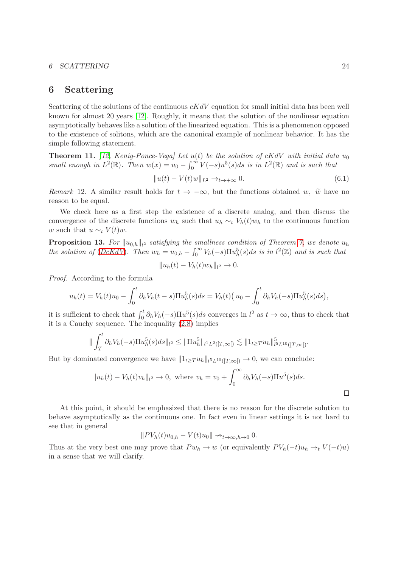#### 6 SCATTERING 24

### 6 Scattering

Scattering of the solutions of the continuous  $cKdV$  equation for small initial data has been well known for almost 20 years [\[12\]](#page-43-0). Roughly, it means that the solution of the nonlinear equation asymptotically behaves like a solution of the linearized equation. This is a phenomenon opposed to the existence of solitons, which are the canonical example of nonlinear behavior. It has the simple following statement.

**Theorem 11.** [\[12,](#page-43-0) Kenig-Ponce-Vega] Let  $u(t)$  be the solution of cKdV with initial data  $u_0$ small enough in  $L^2(\mathbb{R})$ . Then  $w(x) = u_0 - \int_0^\infty V(-s)u^5(s)ds$  is in  $L^2(\mathbb{R})$  and is such that

$$
||u(t) - V(t)w||_{L^2} \rightarrow_{t \rightarrow +\infty} 0. \tag{6.1}
$$

Remark 12. A similar result holds for  $t \to -\infty$ , but the functions obtained w,  $\tilde{w}$  have no reason to be equal.

We check here as a first step the existence of a discrete analog, and then discuss the convergence of the discrete functions  $w_h$  such that  $u_h \sim_t V_h(t)w_h$  to the continuous function w such that  $u \sim_t V(t)w$ .

**Proposition 13.** For  $||u_{0,h}||_{l^2}$  satisfying the smallness condition of Theorem [7,](#page-15-1) we denote  $u_h$ the solution of  $(DcKdV)$  $(DcKdV)$  $(DcKdV)$ . Then  $w_h = u_{0,h} - \int_0^\infty V_h(-s)\Pi u_h^5(s)ds$  is in  $l^2(\mathbb{Z})$  and is such that

$$
||u_h(t) - V_h(t)w_h||_{l^2} \to 0.
$$

Proof. According to the formula

$$
u_h(t) = V_h(t)u_0 - \int_0^t \partial_h V_h(t-s) \Pi u_h^5(s) ds = V_h(t) \Big( u_0 - \int_0^t \partial_h V_h(-s) \Pi u_h^5(s) ds \Big),
$$

it is sufficient to check that  $\int_0^t \partial_h V_h(-s) \Pi u^5(s) ds$  converges in  $l^2$  as  $t \to \infty$ , thus to check that it is a Cauchy sequence. The inequality [\(2.8\)](#page-7-0) implies

$$
\|\int_T^t \partial_h V_h(-s) \Pi u_h^5(s) ds\|_{l^2} \leq \|\Pi u_h^5\|_{l^1 L^2([T,\infty[)} \lesssim \|1_{t \geq T} u_h\|_{l^5 L^{10}([T,\infty[)}^5).
$$

But by dominated convergence we have  $||1_{t\geq T} u_h||_{l^5L^{10}([T,\infty[)} \to 0$ , we can conclude:

$$
||u_h(t) - V_h(t)v_h||_{l^2} \to 0, \text{ where } v_h = v_0 + \int_0^\infty \partial_h V_h(-s) \Pi u^5(s) ds.
$$

At this point, it should be emphasized that there is no reason for the discrete solution to behave asymptotically as the continuous one. In fact even in linear settings it is not hard to see that in general

 $||PV_h(t)u_{0,h} - V(t)u_0|| \rightarrow_{t\rightarrow\infty, h\rightarrow 0} 0.$ 

Thus at the very best one may prove that  $P w_h \to w$  (or equivalently  $P V_h(-t) u_h \to_t V(-t) u$ ) in a sense that we will clarify.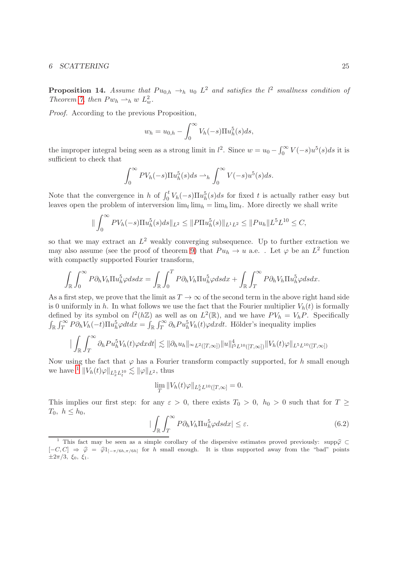#### 6 SCATTERING 25

**Proposition 14.** Assume that  $Pu_{0,h} \rightarrow_h u_0 L^2$  and satisfies the  $l^2$  smallness condition of Theorem [7,](#page-15-1) then  $Pw_h \rightharpoonup_h w L_w^2$ .

Proof. According to the previous Proposition,

$$
w_h = u_{0,h} - \int_0^\infty V_h(-s) \Pi u_h^5(s) ds,
$$

the improper integral being seen as a strong limit in  $l^2$ . Since  $w = u_0 - \int_0^\infty V(-s)u^5(s)ds$  it is sufficient to check that

$$
\int_0^\infty PV_h(-s)\Pi u_h^5(s)ds \rightharpoonup_h \int_0^\infty V(-s)u^5(s)ds.
$$

Note that the convergence in h of  $\int_0^t V_h(-s) \Pi u_h^5(s) ds$  for fixed t is actually rather easy but leaves open the problem of interversion  $\lim_{t} \lim_{h} = \lim_{h} \lim_{t}$ . More directly we shall write

$$
\|\int_0^\infty PV_h(-s)\Pi u_h^5(s)ds\|_{L^2}\leq \|P\Pi u_h^5(s)\|_{L^1L^2}\leq \|Pu_h\|_{L^1L^1}L^{10}\leq C,
$$

so that we may extract an  $L^2$  weakly converging subsequence. Up to further extraction we may also assume (see the proof of theorem [9\)](#page-19-0) that  $Pu_h \to u$  a.e.. Let  $\varphi$  be an  $L^2$  function with compactly supported Fourier transform,

$$
\int_{\mathbb{R}} \int_0^{\infty} P \partial_h V_h \Pi u_h^5 \varphi ds dx = \int_{\mathbb{R}} \int_0^T P \partial_h V_h \Pi u_h^5 \varphi ds dx + \int_{\mathbb{R}} \int_T^{\infty} P \partial_h V_h \Pi u_h^5 \varphi ds dx.
$$

As a first step, we prove that the limit as  $T \to \infty$  of the second term in the above right hand side is 0 uniformly in h. In what follows we use the fact that the Fourier multiplier  $V_h(t)$  is formally defined by its symbol on  $l^2(h\mathbb{Z})$  as well as on  $L^2(\mathbb{R})$ , and we have  $PV_h = V_hP$ . Specifically  $\int_{\mathbb{R}} \int_{T}^{\infty} P \partial_h V_h(-t) \Pi u_h^5 \varphi dt dx = \int_{\mathbb{R}} \int_{T}^{\infty} \partial_h P u_h^5 V_h(t) \varphi dx dt$ . Hölder's inequality implies

$$
\Big|\int_{\mathbb{R}}\int_{T}^{\infty}\partial_{h}P u_{h}^{5}V_{h}(t)\varphi dxdt\Big|\lesssim \|\partial_{h}u_{h}\|_{\infty}L^{2}([T,\infty])\|u\|_{l^{5}L^{10}([T,\infty])}^{4}\|V_{h}(t)\varphi\|_{L^{5}L^{10}([T,\infty])}
$$

Now using the fact that  $\varphi$  has a Fourier transform compactly supported, for h small enough we have  $\perp \|V_h(t)\varphi\|_{L^5_xL^{10}_t} \lesssim \|\varphi\|_{L^2}$  $\perp \|V_h(t)\varphi\|_{L^5_xL^{10}_t} \lesssim \|\varphi\|_{L^2}$  $\perp \|V_h(t)\varphi\|_{L^5_xL^{10}_t} \lesssim \|\varphi\|_{L^2}$ , thus

$$
\lim_{T} \|V_h(t)\varphi\|_{L_x^5 L^{10}([T,\infty])} = 0.
$$

This implies our first step: for any  $\varepsilon > 0$ , there exists  $T_0 > 0$ ,  $h_0 > 0$  such that for  $T \geq$  $T_0, h \leq h_0,$ 

<span id="page-24-1"></span>
$$
|\int_{\mathbb{R}}\int_{T}^{\infty}P\partial_{h}V_{h}\Pi u_{h}^{5}\varphi dsdx|\leq\varepsilon.\tag{6.2}
$$

<span id="page-24-0"></span><sup>&</sup>lt;sup>1</sup> This fact may be seen as a simple corollary of the dispersive estimates proved previously: supp $\hat{\varphi}$  $[-C, C] \Rightarrow \hat{\varphi} = \hat{\varphi} \mathbb{1}_{[-\pi/6h, \pi/6h]}$  for h small enough. It is thus supported away from the "bad" points  $\pm 2\pi/3$ ,  $\xi_0$ ,  $\xi_1$ .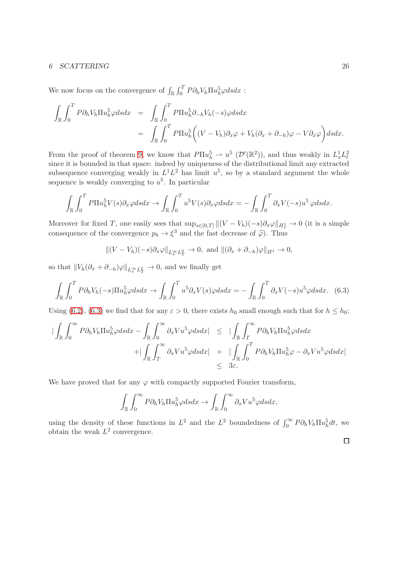#### 6 SCATTERING 26

We now focus on the convergence of  $\int_{\mathbb{R}} \int_0^T P \partial_h V_h \Pi u_h^5 \varphi ds dx$ :

$$
\int_{\mathbb{R}} \int_0^T P \partial_h V_h \Pi u_h^5 \varphi ds dx = \int_{\mathbb{R}} \int_0^T P \Pi u_h^5 \partial_{-h} V_h(-s) \varphi ds dx \n= \int_{\mathbb{R}} \int_0^T P \Pi u_h^5 \Big( (V - V_h) \partial_x \varphi + V_h (\partial_x + \partial_{-h}) \varphi - V \partial_x \varphi \Big) ds dx.
$$

From the proof of theorem [9,](#page-19-0) we know that  $P\Pi u_h^5 \rightharpoonup u^5 \left( \mathcal{D}'(\mathbb{R}^2) \right)$ , and thus weakly in  $L_x^1 L_t^2$ since it is bounded in that space: indeed by uniqueness of the distributional limit any extracted subsequence converging weakly in  $L^1L^2$  has limit  $u^5$ , so by a standard argument the whole sequence is weakly converging to  $u^5$ . In particular

$$
\int_{\mathbb{R}} \int_0^T P \Pi u_h^5 V(s) \partial_x \varphi ds dx \to \int_{\mathbb{R}} \int_0^T u^5 V(s) \partial_x \varphi ds dx = - \int_{\mathbb{R}} \int_0^T \partial_x V(-s) u^5 \varphi ds dx.
$$

Moreover for fixed T, one easily sees that  $\sup_{s\in[0,T]}||(V-V_h)(-s)\partial_x\varphi||_{H_x^1} \to 0$  (it is a simple consequence of the convergence  $p_h \to \xi^3$  and the fast decrease of  $\hat{\varphi}$ ). Thus

$$
\|(V-V_h)(-s)\partial_x\varphi\|_{L_x^{\infty}L_T^2}\to 0, \text{ and } \|(\partial_x+\partial_{-h})\varphi\|_{H^1}\to 0,
$$

so that  $||V_h(\partial_x + \partial_{-h})\varphi||_{L_x^{\infty}L_T^2} \to 0$ , and we finally get

<span id="page-25-0"></span>
$$
\int_{\mathbb{R}} \int_0^T P \partial_h V_h(-s) \Pi u_h^5 \varphi ds dx \to \int_{\mathbb{R}} \int_0^T u^5 \partial_x V(s) \varphi ds dx = - \int_{\mathbb{R}} \int_0^T \partial_x V(-s) u^5 \varphi ds dx. \tag{6.3}
$$

Using [\(6.2\)](#page-24-1), [\(6.3\)](#page-25-0) we find that for any  $\varepsilon > 0$ , there exists  $h_0$  small enough such that for  $h \leq h_0$ :

$$
\begin{array}{rcl}\n|\int_{\mathbb{R}} \int_{0}^{\infty} P \partial_{h} V_{h} \Pi u_{h}^{5} \varphi ds dx - \int_{\mathbb{R}} \int_{0}^{\infty} \partial_{x} V u^{5} \varphi ds dx| & \leq \quad |\int_{\mathbb{R}} \int_{T}^{\infty} P \partial_{h} V_{h} \Pi u_{h}^{5} \varphi ds dx \\
& + |\int_{\mathbb{R}} \int_{T}^{\infty} \partial_{x} V u^{5} \varphi ds dx| & + |\int_{\mathbb{R}} \int_{0}^{T} P \partial_{h} V_{h} \Pi u_{h}^{5} \varphi - \partial_{x} V u^{5} \varphi ds dx| \\
& \leq \quad 3\varepsilon.\n\end{array}
$$

We have proved that for any  $\varphi$  with compactly supported Fourier transform,

$$
\int_{\mathbb{R}} \int_0^{\infty} P \partial_h V_h \Pi u_h^5 \varphi ds dx \to \int_{\mathbb{R}} \int_0^{\infty} \partial_x V u^5 \varphi ds dx,
$$

using the density of these functions in  $L^2$  and the  $L^2$  boundedness of  $\int_0^\infty P \partial_h V_h \Pi u_h^5 dt$ , we obtain the weak  $L^2$  convergence.

 $\Box$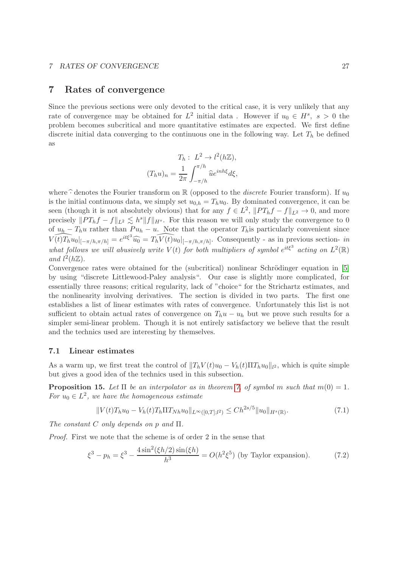### 7 Rates of convergence

Since the previous sections were only devoted to the critical case, it is very unlikely that any rate of convergence may be obtained for  $L^2$  initial data. However if  $u_0 \in H^s$ ,  $s > 0$  the problem becomes subcritical and more quantitative estimates are expected. We first define discrete initial data converging to the continuous one in the following way. Let  $T_h$  be defined as

$$
T_h: L^2 \to l^2(h\mathbb{Z}),
$$
  

$$
(T_h u)_n = \frac{1}{2\pi} \int_{-\pi/h}^{\pi/h} \hat{u}e^{inh\xi}d\xi,
$$

where  $\hat{\cdot}$  denotes the Fourier transform on R (opposed to the *discrete* Fourier transform). If  $u_0$ is the initial continuous data, we simply set  $u_{0,h} = T_h u_0$ . By dominated convergence, it can be seen (though it is not absolutely obvious) that for any  $f \in L^2$ ,  $||PT_hf - f||_{L^2} \to 0$ , and more precisely  $||PT_hf - f||_{L^2} \le h^s||f||_{H^s}$ . For this reason we will only study the convergence to 0 of  $u_h - T_h u$  rather than  $Pu_h - u$ . Note that the operator  $T_h$  is particularly convenient since  $\widehat{V(t)T_hu_0}|_{[-\pi/h,\pi/h]} = e^{it\xi^3}\widehat{u_0} = T_h\widehat{V(t)u_0}|_{[-\pi/h,\pi/h]}$ . Consequently - as in previous section- in what follows we will abusively write  $V(t)$  for both multipliers of symbol  $e^{it\xi^3}$  acting on  $L^2(\mathbb{R})$ and  $l^2(h\mathbb{Z})$ .

Convergence rates were obtained for the (subcritical) nonlinear Schrödinger equation in [\[5\]](#page-43-10) by using "discrete Littlewood-Paley analysis". Our case is slightly more complicated, for essentially three reasons; critical regularity, lack of "choice" for the Strichartz estimates, and the nonlinearity involving derivatives. The section is divided in two parts. The first one establishes a list of linear estimates with rates of convergence. Unfortunately this list is not sufficient to obtain actual rates of convergence on  $T_h u - u_h$  but we prove such results for a simpler semi-linear problem. Though it is not entirely satisfactory we believe that the result and the technics used are interesting by themselves.

#### 7.1 Linear estimates

As a warm up, we first treat the control of  $||T_hV(t)u_0 - V_h(t)\Pi T_hu_0||_{l^2}$ , which is quite simple but gives a good idea of the technics used in this subsection.

<span id="page-26-1"></span>**Proposition 15.** Let  $\Pi$  be an interpolator as in theorem [7,](#page-15-1) of symbol m such that  $m(0) = 1$ . For  $u_0 \in L^2$ , we have the homogeneous estimate

<span id="page-26-0"></span>
$$
||V(t)T_hu_0 - V_h(t)T_h\Pi T_{Nh}u_0||_{L^{\infty}([0,T];l^2)} \le Ch^{2s/5}||u_0||_{H^s(\mathbb{R})}.
$$
\n(7.1)

The constant C only depends on p and  $\Pi$ .

Proof. First we note that the scheme is of order 2 in the sense that

$$
\xi^3 - p_h = \xi^3 - \frac{4\sin^2(\xi h/2)\sin(\xi h)}{h^3} = O(h^2 \xi^5) \text{ (by Taylor expansion)}.
$$
 (7.2)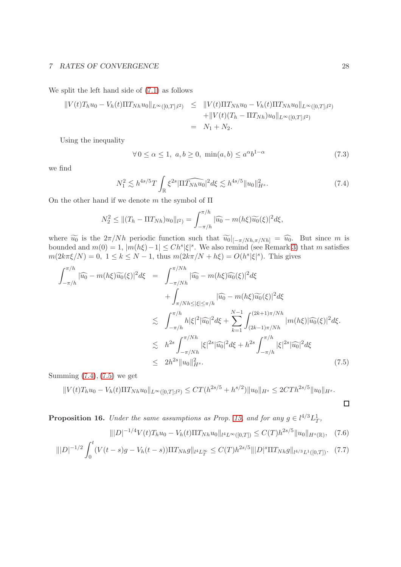We split the left hand side of [\(7.1\)](#page-26-0) as follows

$$
||V(t)T_hu_0 - V_h(t)\Pi T_{Nh}u_0||_{L^{\infty}([0,T];l^2)} \le ||V(t)\Pi T_{Nh}u_0 - V_h(t)\Pi T_{Nh}u_0||_{L^{\infty}([0,T];l^2)} + ||V(t)(T_h - \Pi T_{Nh})u_0||_{L^{\infty}([0,T];l^2)} = N_1 + N_2.
$$

Using the inequality

<span id="page-27-3"></span>
$$
\forall 0 \le \alpha \le 1, \ a, b \ge 0, \ \min(a, b) \le a^{\alpha} b^{1-\alpha} \tag{7.3}
$$

we find

<span id="page-27-0"></span>
$$
N_1^2 \lesssim h^{4s/5} T \int_{\mathbb{R}} \xi^{2s} |\widehat{\Pi T_{N}}_h u_0|^2 d\xi \lesssim h^{4s/5} \|u_0\|_{H^s}^2. \tag{7.4}
$$

On the other hand if we denote m the symbol of  $\Pi$ 

$$
N_2^2 \leq ||(T_h - \Pi T_{Nh})u_0||_{l^2} = \int_{-\pi/h}^{\pi/h} |\widehat{u_0} - m(h\xi)\widetilde{u_0}(\xi)|^2 d\xi,
$$

where  $\widetilde{u_0}$  is the  $2\pi/Nh$  periodic function such that  $\widetilde{u_0}|_{[-\pi/Nh,\pi/Nh]} = \widehat{u_0}$ . But since m is bounded and  $m(0) = 1$ ,  $|m(h\xi) - 1| \leq Ch^s |\xi|^s$ . We also remind (see Remark [3\)](#page-9-0) that m satisfies  $m(2k\pi\xi/N) = 0, \ 1 \le k \le N - 1$ , thus  $m(2k\pi/N + h\xi) = O(h^s|\xi|^s)$ . This gives

<span id="page-27-1"></span>
$$
\int_{-\pi/h}^{\pi/h} |\widehat{u_0} - m(h\xi)\widetilde{u_0}(\xi)|^2 d\xi = \int_{-\pi/Nh}^{\pi/Nh} |\widehat{u_0} - m(h\xi)\widehat{u_0}(\xi)|^2 d\xi \n+ \int_{\pi/Nh \le |\xi| \le \pi/h} |\widehat{u_0} - m(h\xi)\widetilde{u_0}(\xi)|^2 d\xi \n\lesssim \int_{-\pi/h}^{\pi/h} h|\xi|^2 |\widehat{u_0}|^2 d\xi + \sum_{k=1}^{N-1} \int_{(2k-1)\pi/Nh}^{(2k+1)\pi/Nh} |m(h\xi)|\widehat{u_0}(\xi)|^2 d\xi \n\lesssim h^{2s} \int_{-\pi/Nh}^{\pi/Nh} |\xi|^{2s} |\widehat{u_0}|^2 d\xi + h^{2s} \int_{-\pi/h}^{\pi/h} |\xi|^{2s} |\widehat{u_0}|^2 d\xi \n\le 2h^{2s} \|u_0\|_{H^s}^2.
$$
\n(7.5)

Summing  $(7.4)$ ,  $(7.5)$  we get

$$
||V(t)T_hu_0 - V_h(t)\Pi T_{Nh}u_0||_{L^{\infty}([0,T];l^2)} \le CT(h^{2s/5} + h^{s/2})||u_0||_{H^s} \le 2CTh^{2s/5}||u_0||_{H^s}.
$$

**Proposition 16.** Under the same assumptions as Prop. [15,](#page-26-1) and for any  $g \in l^{4/3}L^1_T$ ,

<span id="page-27-2"></span>
$$
\| |D|^{-1/4} V(t) T_h u_0 - V_h(t) \Pi T_{Nh} u_0 \|_{l^4 L^\infty([0,T])} \le C(T) h^{2s/5} \| u_0 \|_{H^s(\mathbb{R})}, \quad (7.6)
$$

$$
\| |D|^{-1/2} \int_0^t (V(t-s)g - V_h(t-s)) \Pi T_{Nh} g \|_{l^4 L_T^{\infty}} \le C(T) h^{2s/5} \| |D|^s \Pi T_{Nh} g \|_{l^{4/3} L^1([0,T])}. \tag{7.7}
$$

 $\Box$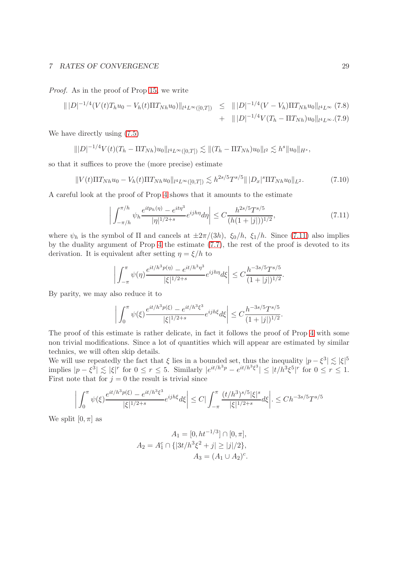Proof. As in the proof of Prop [15,](#page-26-1) we write

$$
\| |D|^{-1/4} (V(t) T_h u_0 - V_h(t) \Pi T_{Nh} u_0) \|_{l^4 L^\infty([0,T])} \leq \| |D|^{-1/4} (V - V_h) \Pi T_{Nh} u_0 \|_{l^4 L^\infty} (7.8) + \| |D|^{-1/4} V (T_h - \Pi T_{Nh}) u_0 \|_{l^4 L^\infty} (7.9)
$$

We have directly using [\(7.5\)](#page-27-1)

$$
\| |D|^{-1/4} V(t) (T_h - \Pi T_{Nh}) u_0\|_{l^4 L^\infty([0,T])} \lesssim \| (T_h - \Pi T_{Nh}) u_0\|_{l^2} \lesssim h^s \| u_0\|_{H^s},
$$

so that it suffices to prove the (more precise) estimate

$$
||V(t)\Pi T_{Nh}u_0 - V_h(t)\Pi T_{Nh}u_0||_{l^4L^\infty([0,T])} \lesssim h^{2s/5}T^{s/5}|||D_x|^s\Pi T_{Nh}u_0||_{L^2}.
$$
 (7.10)

A careful look at the proof of Prop [4](#page-9-1) shows that it amounts to the estimate

<span id="page-28-0"></span>
$$
\left| \int_{-\pi/h}^{\pi/h} \psi_h \frac{e^{itp_h(\eta)} - e^{it\eta^3}}{|\eta|^{1/2+s}} e^{ijh\eta} d\eta \right| \le C \frac{h^{2s/5} T^{s/5}}{(h(1+|j|))^{1/2}},\tag{7.11}
$$

where  $\psi_h$  is the symbol of  $\Pi$  and cancels at  $\pm 2\pi/(3h)$ ,  $\xi_0/h$ ,  $\xi_1/h$ . Since [\(7.11\)](#page-28-0) also implies by the duality argument of Prop [4](#page-9-1) the estimate [\(7.7\)](#page-27-2), the rest of the proof is devoted to its derivation. It is equivalent after setting  $\eta = \xi/h$  to

$$
\bigg| \int_{-\pi}^{\pi} \psi(\eta) \frac{e^{it/h^3 p(\eta)} - e^{it/h^3 \eta^3}}{|\xi|^{1/2+s}} e^{ijh\eta} d\xi \bigg| \leq C \frac{h^{-3s/5} T^{s/5}}{(1+|j|)^{1/2}}.
$$

By parity, we may also reduce it to

$$
\left| \int_0^{\pi} \psi(\xi) \frac{e^{it/h^3 p(\xi)} - e^{it/h^3 \xi^3}}{|\xi|^{1/2+s}} e^{ijh\xi} d\xi \right| \leq C \frac{h^{-3s/5} T^{s/5}}{(1+|j|)^{1/2}}.
$$

The proof of this estimate is rather delicate, in fact it follows the proof of Prop [4](#page-9-1) with some non trivial modifications. Since a lot of quantities which will appear are estimated by similar technics, we will often skip details.

We will use repeatedly the fact that  $\xi$  lies in a bounded set, thus the inequality  $|p-\xi^3| \lesssim |\xi|^5$ implies  $|p-\xi^3| \lesssim |\xi|^r$  for  $0 \le r \le 5$ . Similarly  $|e^{it/h^3p} - e^{it/h^3\xi^3}| \le |t/h^3\xi^5|^r$  for  $0 \le r \le 1$ . First note that for  $j = 0$  the result is trivial since

$$
\left| \int_0^{\pi} \psi(\xi) \frac{e^{it/h^3 p(\xi)} - e^{it/h^3 \xi^3}}{|\xi|^{1/2+s}} e^{ijh\xi} d\xi \right| \le C \left| \int_{-\pi}^{\pi} \frac{(t/h^3)^{s/5} |\xi|^s}{|\xi|^{1/2+s}} d\xi \right| \le C h^{-3s/5} T^{s/5}
$$

We split  $[0, \pi]$  as

$$
A_1 = [0, ht^{-1/3}] \cap [0, \pi],
$$
  
\n
$$
A_2 = A_1^c \cap \{|3t/h^3\xi^2 + j| \ge |j|/2\},
$$
  
\n
$$
A_3 = (A_1 \cup A_2)^c.
$$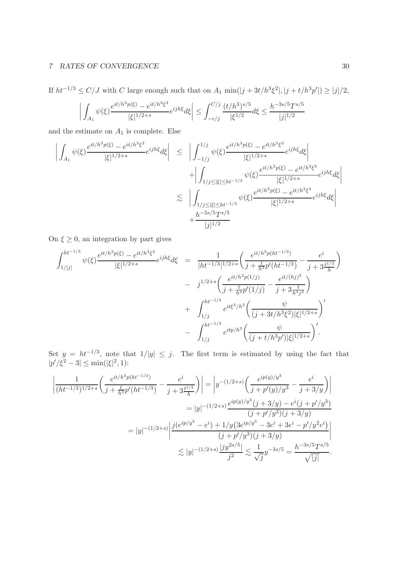If  $ht^{-1/3} \leq C/J$  with C large enough such that on  $A_1 \min(|j + 3t/h^3 \xi^2|, |j + t/h^3 p'|) \geq |j|/2$ ,

$$
\left| \int_{A_1} \psi(\xi) \frac{e^{it/h^3 p(\xi)} - e^{it/h^3 \xi^3}}{|\xi|^{1/2 + s}} e^{ijh\xi} d\xi \right| \le \int_{-c/j}^{C/j} \frac{(t/h^3)^{s/5}}{|\xi^{1/2}} d\xi \le \frac{h^{-3s/5} T^{s/5}}{|j|^{1/2}}
$$

and the estimate on  $A_1$  is complete. Else

$$
\left| \int_{A_1} \psi(\xi) \frac{e^{it/h^3 p(\xi)} - e^{it/h^3 \xi^3}}{|\xi|^{1/2+s}} e^{ijh\xi} d\xi \right| \leq \left| \int_{-1/j}^{1/j} \psi(\xi) \frac{e^{it/h^3 p(\xi)} - e^{it/h^3 \xi^3}}{|\xi|^{1/2+s}} e^{ijh\xi} d\xi \right| \n+ \left| \int_{1/j \leq |\xi| \leq ht^{-1/3}} \psi(\xi) \frac{e^{it/h^3 p(\xi)} - e^{it/h^3 \xi^3}}{|\xi|^{1/2+s}} e^{ijh\xi} d\xi \right| \n\lesssim \left| \int_{1/j \leq |\xi| \leq ht^{-1/3}} \psi(\xi) \frac{e^{it/h^3 p(\xi)} - e^{it/h^3 \xi^3}}{|\xi|^{1/2+s}} e^{ijh\xi} d\xi \right| \n+ \frac{h^{-3s/5} T^{s/5}}{|j|^{1/2}}
$$

On  $\xi \geq 0$ , an integration by part gives

$$
\int_{1/|j|}^{ht^{-1/3}} \psi(\xi) \frac{e^{it/h^{3}p(\xi)} - e^{it/h^{3}\xi^{3}}}{|\xi|^{1/2+s}} e^{ijh\xi} d\xi = \frac{1}{|ht^{-1/3}|^{1/2+s}} \left( \frac{e^{it/h^{3}p(ht^{-1/3})}}{j + \frac{t}{h^{3}} p'(ht^{-1/3})} - \frac{e^{i}}{j + 3\frac{t^{1/3}}{h}} \right)
$$
  

$$
- j^{1/2+s} \left( \frac{e^{it/h^{3}p(1/j)}}{j + \frac{t}{h^{3}} p'(1/j)} - \frac{e^{it/(hj)^{3}}}{j + 3\frac{t}{h^{3}j^{2}}} \right)
$$
  

$$
+ \int_{1/j}^{ht^{-1/3}} e^{it\xi^{3}/h^{3}} \left( \frac{\psi}{(j + 3t/h^{3}\xi^{2})|\xi|^{1/2+s}} \right)^{j}
$$
  

$$
- \int_{1/j}^{ht^{-1/3}} e^{itp/h^{3}} \left( \frac{\psi}{(j + t/h^{3}p')|\xi|^{1/2+s}} \right)^{j}.
$$

Set  $y = ht^{-1/3}$ , note that  $1/|y| \leq j$ . The first term is estimated by using the fact that  $|p'/\xi^2 - 3| \le \min(|\xi|^2, 1)$ :

$$
\left| \frac{1}{(ht^{-1/3})^{1/2+s}} \left( \frac{e^{it/h^3 p(ht^{-1/3})}}{j + \frac{t}{h^3} p'(ht^{-1/3})} - \frac{e^i}{j + 3\frac{t^{1/3}}{h}} \right) \right| = \left| y^{-(1/2+s)} \left( \frac{e^{ip(y)/y^3}}{j + p'(y)/y^3} - \frac{e^i}{j + 3/y} \right) \right|
$$
  
\n
$$
= |y|^{-(1/2+s)} \frac{e^{ip(y)/y^3} (j + 3/y) - e^i (j + p'/y^3)}{(j + p'/y^3)(j + 3/y)}
$$
  
\n
$$
= |y|^{-(1/2+s)} \left| \frac{j(e^{ip/y^3} - e^i) + 1/y(3e^{ip/y^3} - 3e^i + 3e^i - p'/y^2 e^i)}{(j + p'/y^3)(j + 3/y)} \right|
$$
  
\n
$$
\lesssim |y|^{-(1/2+s)} \frac{|jy^{2s/5}|}{j^2} \lesssim \frac{1}{\sqrt{j}} y^{-3s/5} = \frac{h^{-3s/5} T^{s/5}}{\sqrt{|j|}}.
$$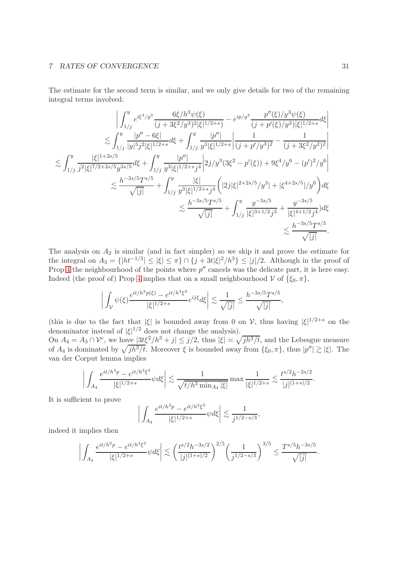The estimate for the second term is similar, and we only give details for two of the remaining integral terms involved:

$$
\begin{split}\n&\left|\int_{1/j}^{y} e^{i\xi^3/y^3} \frac{6\xi/h^3\psi(\xi)}{(j+3\xi^2/y^3)^2|\xi|^{1/2+s}} - e^{ip/y^3} \frac{p''(\xi)/y^3\psi(\xi)}{(j+p'(\xi)/y^3)|\xi|^{1/2+s}} d\xi\right| \\
&\lesssim \int_{1/j}^{y} \frac{|p''-6\xi|}{|y|^{3}j^2|\xi|^{1/2+s}} d\xi + \int_{1/j}^{y} \frac{|p''|}{y^3|\xi|^{1/2+s}} \frac{1}{(j+p'/y^3)^2} - \frac{1}{(j+3\xi^2/y^2)^2}\n\end{split}
$$
\n
$$
\begin{split}\n&\lesssim \int_{1/j}^{y} \frac{|\xi|^{1+2s/5}}{j^2|\xi|^{7/2+2s/5}y^{3s/5}} d\xi + \int_{1/j}^{y} \frac{|p''|}{y^3|\xi|^{1/2+s}j^4} \left|2j/y^3(3\xi^2-p'(\xi)) + 9\xi^4/y^6 - (p')^2/y^6\right| \\
&\lesssim \frac{h^{-3s/5}Ts^{5/5}}{\sqrt{|j|}} + \int_{1/j}^{y} \frac{|\xi|}{y^3|\xi|^{1/2+s}j^4} \left(|2j|\xi|^{2+2s/5}/y^3| + |\xi^{4+2s/5}|/y^6\right) d\xi \\
&\lesssim \frac{h^{-3s/5}Ts^{5/5}}{\sqrt{|j|}} + \int_{1/j}^{y} \frac{y^{-3s/5}}{|\xi|^{3+1/2}j^3} + \frac{y^{-3s/5}}{|\xi|^{4+1/2}j^4} d\xi \\
&\lesssim \frac{h^{-3s/5}Ts^{7/5}}{\sqrt{|j|}}.\n\end{split}
$$

The analysis on  $A_2$  is similar (and in fact simpler) so we skip it and prove the estimate for the integral on  $A_3 = \{|ht^{-1/3}| \leq |\xi| \leq \pi\} \cap \{j + 3t|\xi|^2/h^3\} \leq |j|/2$ . Although in the proof of Prop [4](#page-9-1) the neighbourhood of the points where  $p''$  cancels was the delicate part, it is here easy. Indeed (the proof of) Prop [4](#page-9-1) implies that on a small neighbourhood  $V$  of  $\{\xi_0, \pi\},$ 

$$
\bigg|\int_{\mathcal{V}} \psi(\xi) \frac{e^{it/h^3 p(\xi)} - e^{it/h^3 \xi^3}}{|\xi|^{1/2+s}} e^{ij\xi} d\xi \bigg| \lesssim \frac{1}{\sqrt{|j|}} \leq \frac{h^{-3s/5} T^{s/5}}{\sqrt{|j|}},
$$

(this is due to the fact that  $|\xi|$  is bounded away from 0 on V, thus having  $|\xi|^{1/2+s}$  on the denominator instead of  $|\xi|^{1/2}$  does not change the analysis).

On  $A_4 = A_3 \cap \mathcal{V}^c$ , we have  $|3t\xi^2/h^3 + j| \leq j/2$ , thus  $|\xi| \asymp \sqrt{jh^3/t}$ , and the Lebesgue measure of  $A_4$  is dominated by  $\sqrt{jh^3/t}$ . Moreover  $\xi$  is bounded away from  $\{\xi_0, \pi\}$ , thus  $|p''| \gtrsim |\xi|$ . The van der Corput lemma implies

$$
\left| \int_{A_4} \frac{e^{it/h^3 p} - e^{it/h^3 \xi^3}}{|\xi|^{1/2+s}} \psi d\xi \right| \lesssim \frac{1}{\sqrt{t/h^3 \min_{A_4} |\xi|}} \max \frac{1}{|\xi|^{1/2+s}} \lesssim \frac{t^{s/2} h^{-3s/2}}{|j|^{(1+s)/2}}.
$$

It is sufficient to prove

$$
\left| \int_{A_4} \frac{e^{it/h^3 p} - e^{it/h^3 \xi^3}}{|\xi|^{1/2+s}} \psi d\xi \right| \lesssim \frac{1}{j^{1/2-s/3}},
$$

indeed it implies then

$$
\bigg|\int_{A_4}\frac{e^{it/h^3p}-e^{it/h^3\xi^3}}{|\xi|^{1/2+s}}\psi d\xi\bigg|\lesssim \bigg(\frac{t^{s/2}h^{-3s/2}}{|j|^{(1+s)/2}}\bigg)^{2/5}\bigg(\frac{1}{j^{1/2-s/3}}\bigg)^{3/5}\leq \frac{T^{s/5}h^{-3s/5}}{\sqrt{|j|}}.
$$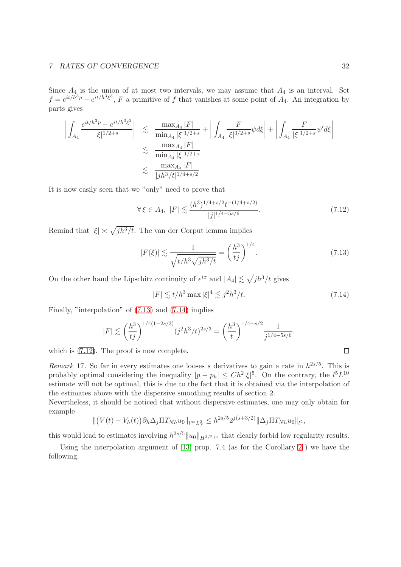Since  $A_4$  is the union of at most two intervals, we may assume that  $A_4$  is an interval. Set  $f = e^{it/h^3 p} - e^{it/h^3 \xi^3}$ , F a primitive of f that vanishes at some point of  $A_4$ . An integration by parts gives

$$
\left| \int_{A_4} \frac{e^{it/h^3 p} - e^{it/h^3 \xi^3}}{|\xi|^{1/2+s}} \right| \leq \frac{\max_{A_4} |F|}{\min_{A_4} |\xi|^{1/2+s}} + \left| \int_{A_4} \frac{F}{|\xi|^{3/2+s}} \psi d\xi \right| + \left| \int_{A_4} \frac{F}{|\xi|^{1/2+s}} \psi' d\xi \right|
$$
  

$$
\leq \frac{\max_{A_4} |F|}{\min_{A_4} |\xi|^{1/2+s}}
$$
  

$$
\leq \frac{\max_{A_4} |F|}{|jh^3/t|^{1/4+s/2}}
$$

It is now easily seen that we "only" need to prove that

<span id="page-31-2"></span>
$$
\forall \xi \in A_4, \ |F| \lesssim \frac{(h^3)^{1/4+s/2} t^{-(1/4+s/2)}}{|j|^{1/4-5s/6}}.\tag{7.12}
$$

Remind that  $|\xi| \asymp \sqrt{j h^3/t}$ . The van der Corput lemma implies

<span id="page-31-0"></span>
$$
|F(\xi)| \lesssim \frac{1}{\sqrt{t/h^3 \sqrt{jh^3/t}}} = \left(\frac{h^3}{tj}\right)^{1/4}.
$$
 (7.13)

On the other hand the Lipschitz continuity of  $e^{ix}$  and  $|A_4| \lesssim \sqrt{jh^3/t}$  gives

<span id="page-31-1"></span>
$$
|F| \lesssim t/h^3 \max |\xi|^4 \lesssim j^2 h^3 / t. \tag{7.14}
$$

Finally, "interpolation" of [\(7.13\)](#page-31-0) and [\(7.14\)](#page-31-1) implies

$$
|F| \lesssim \left(\frac{h^3}{tj}\right)^{1/4(1-2s/3)} (j^2h^3/t)^{2s/3} = \left(\frac{h^3}{t}\right)^{1/4+s/2} \frac{1}{j^{1/4-5s/6}}.
$$

which is  $(7.12)$ . The proof is now complete.

Remark 17. So far in every estimates one looses s derivatives to gain a rate in  $h^{2s/5}$ . This is probably optimal considering the inequality  $|p - p_h| \leq Ch^2 |\xi|^5$ . On the contrary, the  $l^5 L^{10}$ estimate will not be optimal, this is due to the fact that it is obtained via the interpolation of the estimates above with the dispersive smoothing results of section 2.

Nevertheless, it should be noticed that without dispersive estimates, one may only obtain for example

$$
\| (V(t) - V_h(t)) \partial_h \Delta_j \Pi T_{Nh} u_0 \|_{l^{\infty} L^2_T} \leq h^{2s/5} 2^{j(s+3/2)} \|\Delta_j \Pi T_{Nh} u_0 \|_{l^2},
$$

this would lead to estimates involving  $h^{2s/5}||u_0||_{H^{3/2+s}}$  that clearly forbid low regularity results.

Using the interpolation argument of [\[13\]](#page-43-8) prop. 7.4 (as for the Corollary [2](#page-14-3) ) we have the following.

 $\Box$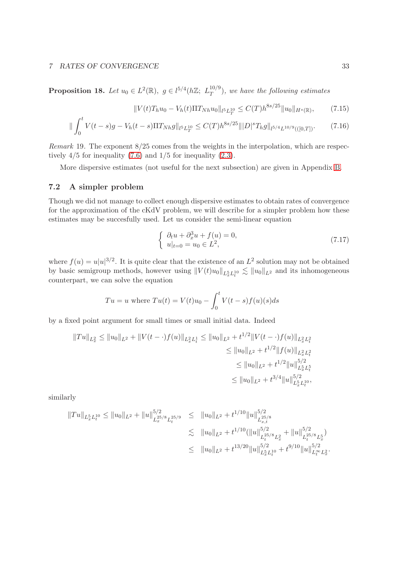**Proposition 18.** Let  $u_0 \in L^2(\mathbb{R})$ ,  $g \in l^{5/4}(h\mathbb{Z}; L_T^{10/9})$  $T(T^{(1)}),$  we have the following estimates

<span id="page-32-1"></span>
$$
||V(t)T_hu_0 - V_h(t)\Pi T_{Nh}u_0||_{l^5L_T^{10}} \le C(T)h^{8s/25}||u_0||_{H^s(\mathbb{R})},\qquad(7.15)
$$

$$
\|\int_0^t V(t-s)g - V_h(t-s)\Pi T_{Nh}g\|_{l^5L_T^{10}} \le C(T)h^{8s/25} \| |D|^s T_h g\|_{l^{5/4}L^{10/9}(([0,T])}. \tag{7.16}
$$

Remark 19. The exponent 8/25 comes from the weights in the interpolation, which are respectively  $4/5$  for inequality  $(7.6)$  and  $1/5$  for inequality  $(2.3)$ .

More dispersive estimates (not useful for the next subsection) are given in Appendix [B.](#page-40-0)

### 7.2 A simpler problem

Though we did not manage to collect enough dispersive estimates to obtain rates of convergence for the approximation of the cKdV problem, we will describe for a simpler problem how these estimates may be succesfully used. Let us consider the semi-linear equation

<span id="page-32-0"></span>
$$
\begin{cases} \n\partial_t u + \partial_x^3 u + f(u) = 0, \\ \nu|_{t=0} = u_0 \in L^2, \n\end{cases} \n(7.17)
$$

where  $f(u) = u|u|^{3/2}$ . It is quite clear that the existence of an  $L^2$  solution may not be obtained by basic semigroup methods, however using  $||V(t)u_0||_{L_x^5L_y^{10}} \lesssim ||u_0||_{L^2}$  and its inhomogeneous counterpart, we can solve the equation

$$
Tu = u \text{ where } Tu(t) = V(t)u_0 - \int_0^t V(t-s)f(u)(s)ds
$$

by a fixed point argument for small times or small initial data. Indeed

$$
||Tu||_{L_x^2} \le ||u_0||_{L^2} + ||V(t - \cdot)f(u)||_{L_x^2 L_t^1} \le ||u_0||_{L^2} + t^{1/2} ||V(t - \cdot)f(u)||_{L_x^2 L_t^2}
$$
  
\n
$$
\le ||u_0||_{L^2} + t^{1/2} ||f(u)||_{L_x^2 L_t^2}
$$
  
\n
$$
\le ||u_0||_{L^2} + t^{1/2} ||u||_{L_x^5 L_t^5}
$$
  
\n
$$
\le ||u_0||_{L^2} + t^{3/4} ||u||_{L_x^5 L_t^{10}}^{5/2},
$$

similarly

$$
||Tu||_{L_x^5 L_t^{10}} \le ||u_0||_{L^2} + ||u||_{L_x^{25/8} L_t^{25/9}}^{5/2} \le ||u_0||_{L^2} + t^{1/10} ||u||_{L_x^{25/8}}^{5/2}
$$
  

$$
\le ||u_0||_{L^2} + t^{1/10} (||u||_{L_t^{25/8} L_x^2}^{5/8} + ||u||_{L_t^{25/8} L_x^5}^{5/2})
$$
  

$$
\le ||u_0||_{L^2} + t^{13/20} ||u||_{L_x^{5/2} L_t^{10}}^{5/2} + t^{9/10} ||u||_{L_t^{\infty} L_x^2}^{5/2}
$$

.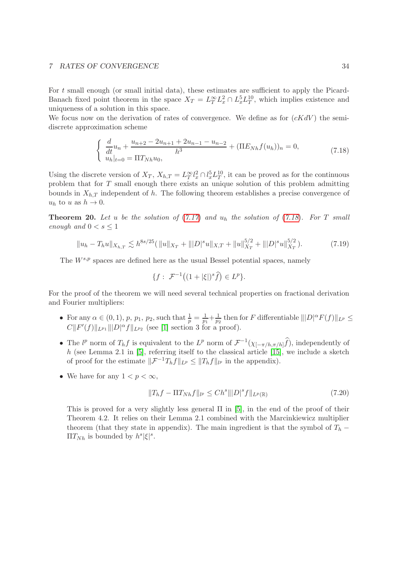For  $t$  small enough (or small initial data), these estimates are sufficient to apply the Picard-Banach fixed point theorem in the space  $X_T = L_T^{\infty} L_x^2 \cap L_x^5 L_T^{10}$ , which implies existence and uniqueness of a solution in this space.

We focus now on the derivation of rates of convergence. We define as for  $(cKdV)$  the semidiscrete approximation scheme

<span id="page-33-0"></span>
$$
\begin{cases} \frac{d}{dt}u_n + \frac{u_{n+2} - 2u_{n+1} + 2u_{n-1} - u_{n-2}}{h^3} + (\Pi E_{Nh} f(u_h))_n = 0, \\ u_h|_{t=0} = \Pi T_{Nh} u_0, \end{cases} \tag{7.18}
$$

Using the discrete version of  $X_T$ ,  $X_{h,T} = L_T^{\infty} l_x^2 \cap l_x^5 L_T^{10}$ , it can be proved as for the continuous problem that for T small enough there exists an unique solution of this problem admitting bounds in  $X_{h,T}$  independent of h. The following theorem establishes a precise convergence of  $u_h$  to u as  $h \to 0$ .

**Theorem 20.** Let u be the solution of  $(7.17)$  $(7.17)$  $(7.17)$  and  $u_h$  the solution of  $(7.18)$  $(7.18)$  $(7.18)$ . For T small enough and  $0 < s \leq 1$ 

<span id="page-33-2"></span>
$$
||u_h - T_hu||_{X_{h,T}} \lesssim h^{8s/25} (||u||_{X_T} + |||D|^s u||_{X,T} + ||u||_{X_T}^{5/2} + |||D|^s u||_{X_T}^{5/2}).
$$
\n(7.19)

The  $W^{s,p}$  spaces are defined here as the usual Bessel potential spaces, namely

$$
\{f: \ \mathcal{F}^{-1}\big((1+|\xi|)^s \widehat{f}\big) \in L^p\}.
$$

For the proof of the theorem we will need several technical properties on fractional derivation and Fourier multipliers:

- For any  $\alpha \in (0,1)$ ,  $p$ ,  $p_1$ ,  $p_2$ , such that  $\frac{1}{p} = \frac{1}{p_1}$  $\frac{1}{p_1} + \frac{1}{p_2}$  $\frac{1}{p_2}$  then for F differentiable  $||D|^{\alpha} F(f)||_{L^p} \leq$  $C||F'(f)||_{L^{p_1}}||D|^{\alpha}f||_{L^{p_2}}$  (see [\[1\]](#page-42-2) section 3 for a proof).
- The  $l^p$  norm of  $T_h f$  is equivalent to the  $L^p$  norm of  $\mathcal{F}^{-1}(\chi_{[-\pi/h,\pi/h]}f)$ , independently of h (see Lemma 2.1 in  $[5]$ , referring itself to the classical article  $[15]$ , we include a sketch of proof for the estimate  $\|\mathcal{F}^{-1}T_hf\|_{L^p} \leq \|T_hf\|_{l^p}$  in the appendix).
- We have for any  $1 < p < \infty$ ,

<span id="page-33-1"></span>
$$
||T_hf - \Pi T_{Nh}f||_{l^p} \le Ch^s |||D|^s f||_{L^p(\mathbb{R})}
$$
\n(7.20)

This is proved for a very slightly less general  $\Pi$  in [\[5\]](#page-43-10), in the end of the proof of their Theorem 4.2. It relies on their Lemma 2.1 combined with the Marcinkiewicz multiplier theorem (that they state in appendix). The main ingredient is that the symbol of  $T_h$  –  $\Pi T_{Nh}$  is bounded by  $h^s |\xi|^s$ .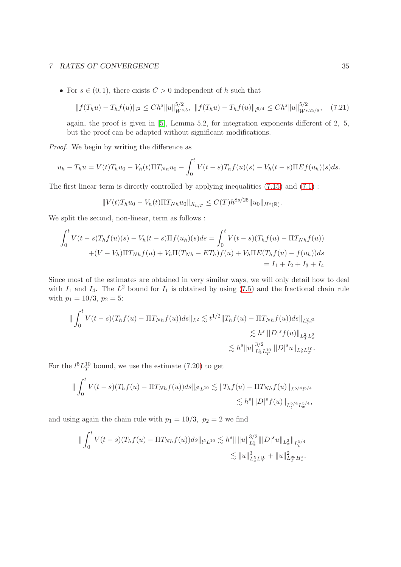• For  $s \in (0,1)$ , there exists  $C > 0$  independent of h such that

<span id="page-34-0"></span>
$$
||f(T_hu) - T_hf(u)||_{l^2} \le Ch^s ||u||_{W^{s,5}}^{5/2}, \ ||f(T_hu) - T_hf(u)||_{l^{5/4}} \le Ch^s ||u||_{W^{s,25/8}}^{5/2}, \quad (7.21)
$$

again, the proof is given in [\[5\]](#page-43-10), Lemma 5.2, for integration exponents different of 2, 5, but the proof can be adapted without significant modifications.

Proof. We begin by writing the difference as

$$
u_h - T_h u = V(t)T_h u_0 - V_h(t)\Pi T_{Nh}u_0 - \int_0^t V(t-s)T_h f(u)(s) - V_h(t-s)\Pi E f(u_h)(s)ds.
$$

The first linear term is directly controlled by applying inequalities  $(7.15)$  and  $(7.1)$ :

$$
||V(t)T_hu_0 - V_h(t)\Pi T_{Nh}u_0||_{X_{h,T}} \leq C(T)h^{8s/25}||u_0||_{H^s(\mathbb{R})}.
$$

We split the second, non-linear, term as follows :

$$
\int_0^t V(t-s)T_h f(u)(s) - V_h(t-s)\Pi f(u_h)(s)ds = \int_0^t V(t-s)(T_h f(u) - \Pi T_{Nh} f(u))
$$
  
+ 
$$
(V - V_h)\Pi T_{Nh} f(u) + V_h \Pi (T_{Nh} - ET_h) f(u) + V_h \Pi E (T_h f(u) - f(u_h))ds
$$
  
=  $I_1 + I_2 + I_3 + I_4$ 

Since most of the estimates are obtained in very similar ways, we will only detail how to deal with  $I_1$  and  $I_4$ . The  $L^2$  bound for  $I_1$  is obtained by using [\(7.5\)](#page-27-1) and the fractional chain rule with  $p_1 = 10/3$ ,  $p_2 = 5$ :

$$
\| \int_0^t V(t-s)(T_h f(u) - \Pi T_{Nh} f(u))ds \|_{L^2} \lesssim t^{1/2} \|T_h f(u) - \Pi T_{Nh} f(u))ds \|_{L^2_T L^2_x} \lesssim h^s \| |D|^s f(u) \|_{L^2_T L^2_x} \lesssim h^s \|u\|_{L^5_x L^{10}_T}^{3/2} \| |D|^s u \|_{L^5_x L^{10}_T}.
$$

For the  $l^5L_T^{10}$  bound, we use the estimate [\(7.20\)](#page-33-1) to get

$$
\|\int_0^t V(t-s)(T_hf(u) - \Pi T_{Nh}f(u))ds\|_{l^5L^{10}} \lesssim \|T_hf(u) - \Pi T_{Nh}f(u)\|_{L^{5/4}l^{5/4}} \lesssim h^s \||D|^s f(u)\|_{L^{5/4}_tL^{5/4}_x},
$$

and using again the chain rule with  $p_1 = 10/3$ ,  $p_2 = 2$  we find

$$
\|\int_0^t V(t-s)(T_hf(u)-\Pi T_{Nh}f(u))ds\|_{l^5L^{10}} \lesssim h^s \|\|u\|_{L_x^5}^{3/2} \|D\|^{s}u\|_{L_x^2}\|_{L_t^{5/4}} \lesssim \|u\|_{L_x^5L_T^{10}}^3 + \|u\|_{L_T^\infty H_x^s}^2.
$$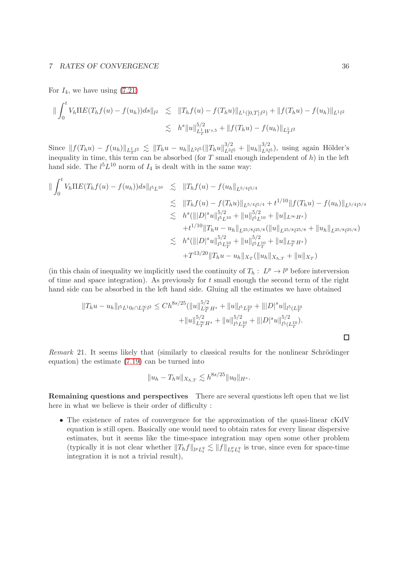For  $I_4$ , we have using  $(7.21)$ 

$$
\|\int_0^t V_h \Pi E(T_h f(u) - f(u_h)) ds\|_{l^2} \lesssim \|T_h f(u) - f(T_h u)\|_{L^1([0,T];l^2)} + \|f(T_h u) - f(u_h)\|_{L^1(l^2)} \lesssim h^s \|u\|_{L_T^1 W^{s,5}}^{5/2} + \|f(T_h u) - f(u_h)\|_{L_T^1 l^2}
$$

Since  $|| f(T_h u) - f(u_h) ||_{L_T^{1/2}} \lesssim ||T_h u - u_h||_{L^{2/5}} (||T_h u||_{L^{3/2}}^{3/2})$  $u_{L^3l^5}^{3/2} + ||u_h||_{L^3l}^{3/2}$  $L^{3/2}_{2l^5}$ , using again Hölder's inequality in time, this term can be absorbed (for  $T$  small enough independent of  $h$ ) in the left hand side. The  $l^5L^{10}$  norm of  $I_4$  is dealt with in the same way:

$$
\| \int_0^t V_h \Pi E(T_h f(u) - f(u_h)) ds \|_{l^5 L^{10}} \le \|T_h f(u) - f(u_h\|_{L^{5/4} l^{5/4}} \n\le \|T_h f(u) - f(T_h u)\|_{L^{5/4} l^{5/4}} + t^{1/10} \|f(T_h u) - f(u_h)\|_{L^{5/4} l^{5/4}} \n\le h^8 (\||D|^s u\|_{l^5 L^{10}}^{5/2} + \|u\|_{l^5 L^{10}}^{5/2} + \|u\|_{L^\infty H^s}) \n+ t^{1/10} \|T_h u - u_h\|_{L^{25/8} l^{25/8}} (\|u\|_{L^{25/8} l^{25/8}} + \|u_h\|_{L^{25/8} l^{25/8}}) \n\le h^8 (\||D|^s u\|_{l^5 L_T^{10}}^{5/2} + \|u\|_{l^5 L_T^{10}}^{5/2} + \|u\|_{L_T^\infty H^s}) \n+ T^{13/20} \|T_h u - u_h\|_{X_T} (\|u_h\|_{X_{h,T}} + \|u\|_{X_T})
$$

(in this chain of inequality we implicitly used the continuity of  $T_h: L^p \to l^p$  before interversion of time and space integration). As previously for  $t$  small enough the second term of the right hand side can be absorbed in the left hand side. Gluing all the estimates we have obtained

$$
||T_hu - u_h||_{l^5L^1 0_t \cap L_T^{\infty} l^2} \le Ch^{8s/25} (||u||_{L_T^{\infty} H^s}^{5/2} + ||u||_{l^5L_T^{10}} + ||D|^s u||_{l^5(L_T^{10})} + ||u||_{L_T^{\infty} H^s}^{5/2} + ||u||_{l^5L_T^{10}}^{5/2} + ||D|^s u||_{l^5(L_T^{10})}^{5/2}.
$$

Remark 21. It seems likely that (similarly to classical results for the nonlinear Schrödinger equation) the estimate [\(7.19\)](#page-33-2) can be turned into

$$
||u_h - T_h u||_{X_{h,T}} \lesssim h^{8s/25} ||u_0||_{H^s}.
$$

Remaining questions and perspectives There are several questions left open that we list here in what we believe is their order of difficulty :

• The existence of rates of convergence for the approximation of the quasi-linear cKdV equation is still open. Basically one would need to obtain rates for every linear dispersive estimates, but it seems like the time-space integration may open some other problem (typically it is not clear whether  $||T_hf||_{l^pL_t^q} \lesssim ||f||_{L_x^pL_t^q}$  is true, since even for space-time integration it is not a trivial result),

 $\Box$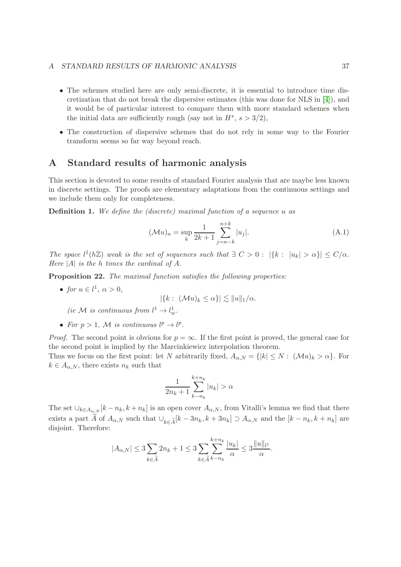#### A STANDARD RESULTS OF HARMONIC ANALYSIS 37

- The schemes studied here are only semi-discrete, it is essential to introduce time discretization that do not break the dispersive estimates (this was done for NLS in [\[4\]](#page-43-12)), and it would be of particular interest to compare them with more standard schemes when the initial data are sufficiently rough (say not in  $H^s$ ,  $s > 3/2$ ),
- The construction of dispersive schemes that do not rely in some way to the Fourier transform seems so far way beyond reach.

# A Standard results of harmonic analysis

This section is devoted to some results of standard Fourier analysis that are maybe less known in discrete settings. The proofs are elementary adaptations from the continuous settings and we include them only for completeness.

**Definition 1.** We define the (discrete) maximal function of a sequence u as

$$
(\mathcal{M}u)_n = \sup_k \frac{1}{2k+1} \sum_{j=n-k}^{n+k} |u_j|.
$$
 (A.1)

The space  $l^1(h\mathbb{Z})$  weak is the set of sequences such that  $\exists C > 0 : |\{k : |u_k| > \alpha\}| \leq C/\alpha$ . Here  $|A|$  is the h times the cardinal of A.

<span id="page-36-0"></span>Proposition 22. The maximal function satisfies the following properties:

• for  $u \in l^1$ ,  $\alpha > 0$ ,

$$
|\{k:\ (\mathcal{M}u)_k\leq \alpha\}|\lesssim \|u\|_1/\alpha.
$$

(ie M is continuous from  $l^1 \to l^1_w$ .

• For  $p > 1$ , M is continuous  $l^p \to l^p$ .

*Proof.* The second point is obvious for  $p = \infty$ . If the first point is proved, the general case for the second point is implied by the Marcinkiewicz interpolation theorem.

Thus we focus on the first point: let N arbitrarily fixed,  $A_{\alpha,N} = \{|k| \leq N : (\mathcal{M}u)_k > \alpha\}$ . For  $k \in A_{\alpha,N}$ , there exists  $n_k$  such that

$$
\frac{1}{2n_k+1}\sum_{k-n_k}^{k+n_k}|u_k|>\alpha
$$

The set  $\cup_{k\in A_{\alpha,N}}[k-n_k,k+n_k]$  is an open cover  $A_{\alpha,N}$ , from Vitalli's lemma we find that there exists a part  $\widetilde{A}$  of  $A_{\alpha,N}$  such that  $\bigcup_{k\in \widetilde{A}} [k-3n_k, k+3n_k] \supset A_{\alpha,N}$  and the  $[k-n_k, k+n_k]$  are disjoint. Therefore:

$$
|A_{\alpha,N}|\leq 3\sum_{k\in\widetilde{A}}2n_k+1\leq 3\sum_{k\in\widetilde{A}}\sum_{k-n_k}^{k+n_k}\frac{|u_k|}{\alpha}\leq 3\frac{\|u\|_{l^1}}{\alpha}.
$$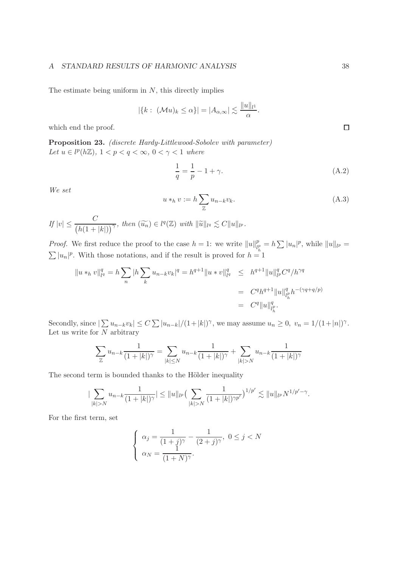#### A STANDARD RESULTS OF HARMONIC ANALYSIS 38

The estimate being uniform in  $N$ , this directly implies

$$
|\{k:\ (\mathcal{M}u)_k\leq \alpha\}|=|A_{\alpha,\infty}|\lesssim \frac{\|u\|_{l^1}}{\alpha}.
$$

which end the proof.

<span id="page-37-0"></span>Proposition 23. (discrete Hardy-Littlewood-Sobolev with parameter) Let  $u \in l^p(h\mathbb{Z})$ ,  $1 < p < q < \infty$ ,  $0 < \gamma < 1$  where

$$
\frac{1}{q} = \frac{1}{p} - 1 + \gamma.
$$
 (A.2)

We set

$$
u *_{h} v := h \sum_{\mathbb{Z}} u_{n-k} v_{k}.
$$
\n(A.3)

$$
If |v| \leq \frac{C}{\left(h(1+|k|)\right)^{\gamma}}, \text{ then } (\widetilde{u_n}) \in l^q(\mathbb{Z}) \text{ with } ||\widetilde{u}||_{l^q} \lesssim C||u||_{l^p}.
$$

*Proof.* We first reduce the proof to the case  $h = 1$ : we write  $||u||_{l_i}^p$  $\frac{p}{l_h^p} = h \sum |u_n|^p$ , while  $||u||_{l^p} =$  $\sum |u_n|^p$ . With those notations, and if the result is proved for  $h = 1$ 

$$
\|u *_{h} v\|_{l^{q}}^{q} = h \sum_{n} |h \sum_{k} u_{n-k} v_{k}|^{q} = h^{q+1} \|u * v\|_{l^{q}}^{q} \leq h^{q+1} \|u\|_{l^{p}}^{q} C^{q} / h^{\gamma q}
$$
  

$$
= C^{q} h^{q+1} \|u\|_{l^{p}_{h}}^{q} h^{-(\gamma q + q/p)}
$$
  

$$
= C^{q} \|u\|_{l^{p}_{h}}^{q}.
$$

Secondly, since  $|\sum u_{n-k}v_k| \le C \sum |u_{n-k}|/(1+|k|)^{\gamma}$ , we may assume  $u_n \ge 0$ ,  $v_n = 1/(1+|n|)^{\gamma}$ . Let us write for  $N$  arbitrary

$$
\sum_{\mathbb{Z}} u_{n-k} \frac{1}{(1+|k|)^{\gamma}} = \sum_{|k| \le N} u_{n-k} \frac{1}{(1+|k|)^{\gamma}} + \sum_{|k| > N} u_{n-k} \frac{1}{(1+|k|)^{\gamma}}
$$

The second term is bounded thanks to the Hölder inequality

$$
|\sum_{|k|>N} u_{n-k} \frac{1}{(1+|k|)^{\gamma}}| \leq ||u||_{l^{p}} \big(\sum_{|k|>N} \frac{1}{(1+|k|)^{\gamma p'}}\big)^{1/p'} \lesssim ||u||_{l^{p}} N^{1/p'-\gamma}.
$$

For the first term, set

$$
\begin{cases}\n\alpha_j = \frac{1}{(1+j)^\gamma} - \frac{1}{(2+j)^\gamma}, \ 0 \le j < N \\
\alpha_N = \frac{1}{(1+N)^\gamma}.\n\end{cases}
$$

 $\Box$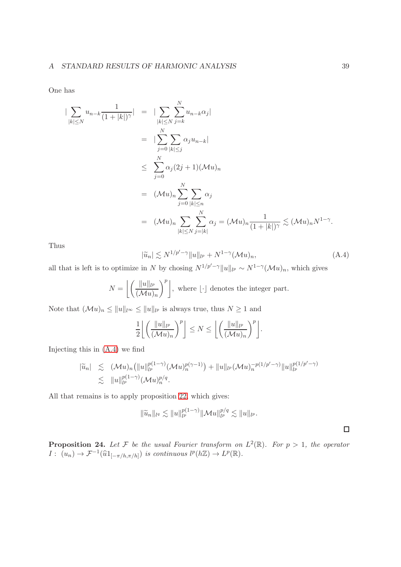One has

$$
\begin{split}\n|\sum_{|k| \le N} u_{n-k} \frac{1}{(1+|k|)^{\gamma}}| &= |\sum_{|k| \le N} \sum_{j=k}^{N} u_{n-k} \alpha_j| \\
&= |\sum_{j=0}^{N} \sum_{|k| \le j} \alpha_j u_{n-k}| \\
&\le \sum_{j=0}^{N} \alpha_j (2j+1) (\mathcal{M}u)_n \\
&= (\mathcal{M}u)_n \sum_{j=0}^{N} \sum_{|k| \le n} \alpha_j \\
&= (\mathcal{M}u)_n \sum_{|k| \le N} \sum_{j=|k|}^{N} \alpha_j = (\mathcal{M}u)_n \frac{1}{(1+|k|)^{\gamma}} \lesssim (\mathcal{M}u)_n N^{1-\gamma}.\n\end{split}
$$

Thus

<span id="page-38-0"></span>
$$
|\widetilde{u}_n| \lesssim N^{1/p'-\gamma} \|u\|_{l^p} + N^{1-\gamma} (\mathcal{M}u)_n,
$$
\n(A.4)

all that is left is to optimize in N by chosing  $N^{1/p'-\gamma}||u||_{l^p} \sim N^{1-\gamma}(\mathcal{M}u)_n$ , which gives

$$
N = \left\lfloor \left( \frac{\|u\|_{l^p}}{(\mathcal{M}u)_n} \right)^p \right\rfloor, \text{ where } \lfloor \cdot \rfloor \text{ denotes the integer part.}
$$

Note that  $(\mathcal{M}u)_n \le ||u||_{l^{\infty}} \le ||u||_{l^p}$  is always true, thus  $N \ge 1$  and

$$
\frac{1}{2}\left\lfloor \left(\frac{\|u\|_{l^p}}{(\mathcal{M}u)_n}\right)^p\right\rfloor \leq N \leq \left\lfloor \left(\frac{\|u\|_{l^p}}{(\mathcal{M}u)_n}\right)^p\right\rfloor.
$$

Injecting this in [\(A.4\)](#page-38-0) we find

$$
|\widetilde{u}_n| \lesssim (\mathcal{M}u)_n (||u||_{l^p}^{p(1-\gamma)} (\mathcal{M}u)_n^{p(\gamma-1)}) + ||u||_{l^p} (\mathcal{M}u)_n^{-p(1/p'-\gamma)} ||u||_{l^p}^{p(1/p'-\gamma)} \lesssim ||u||_{l^p}^{p(1-\gamma)} (\mathcal{M}u)_n^{p/q}.
$$

All that remains is to apply proposition [22,](#page-36-0) which gives:

$$
\|\widetilde{u}_n\|_{l^q}\lesssim \|u\|_{l^p}^{p(1-\gamma)}\|\mathcal{M}u\|_{l^p}^{p/q}\lesssim \|u\|_{l^p}.
$$

 $\Box$ 

**Proposition 24.** Let F be the usual Fourier transform on  $L^2(\mathbb{R})$ . For  $p > 1$ , the operator  $I: (u_n) \to \mathcal{F}^{-1}(\widehat{u}1_{[-\pi/h,\pi/h]})$  is continuous  $l^p(h\mathbb{Z}) \to L^p(\mathbb{R})$ .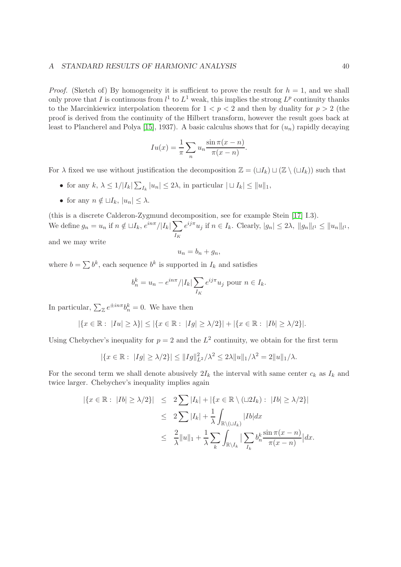#### A STANDARD RESULTS OF HARMONIC ANALYSIS 40

*Proof.* (Sketch of) By homogeneity it is sufficient to prove the result for  $h = 1$ , and we shall only prove that I is continuous from  $l^1$  to  $L^1$  weak, this implies the strong  $L^p$  continuity thanks to the Marcinkiewicz interpolation theorem for  $1 < p < 2$  and then by duality for  $p > 2$  (the proof is derived from the continuity of the Hilbert transform, however the result goes back at least to Plancherel and Polya [\[15\]](#page-43-11), 1937). A basic calculus shows that for  $(u_n)$  rapidly decaying

$$
Iu(x) = \frac{1}{\pi} \sum_{n} u_n \frac{\sin \pi (x - n)}{\pi (x - n)}.
$$

For  $\lambda$  fixed we use without justification the decomposition  $\mathbb{Z} = (\sqcup I_k) \sqcup (\mathbb{Z} \setminus (\sqcup I_k))$  such that

- for any  $k, \lambda \leq 1/|I_k| \sum_{I_k} |u_n| \leq 2\lambda$ , in particular  $| \sqcup I_k | \leq ||u||_1$ ,
- for any  $n \notin \sqcup I_k$ ,  $|u_n| \leq \lambda$ .

(this is a discrete Calderon-Zygmund decomposition, see for example Stein [\[17\]](#page-43-13) I.3). We define  $g_n = u_n$  if  $n \notin \sqcup I_k$ ,  $e^{in\pi}/|I_k|$   $\sum$  $I_K$  $e^{ij\pi}u_j$  if  $n \in I_k$ . Clearly,  $|g_n| \leq 2\lambda$ ,  $||g_n||_{l^1} \leq ||u_n||_{l^1}$ ,

and we may write

$$
u_n = b_n + g_n,
$$

where  $b = \sum b^k$ , each sequence  $b^k$  is supported in  $I_k$  and satisfies

$$
b_n^k = u_n - e^{in\pi}/|I_k| \sum_{I_K} e^{ij\pi} u_j
$$
 pour  $n \in I_k$ .

In particular,  $\sum_{\mathbb{Z}} e^{\pm in\pi} b_n^k = 0$ . We have then

$$
|\{x \in \mathbb{R} : |Iu| \ge \lambda\}| \le |\{x \in \mathbb{R} : |Ig| \ge \lambda/2\}| + |\{x \in \mathbb{R} : |Ib| \ge \lambda/2\}|.
$$

Using Chebychev's inequality for  $p = 2$  and the  $L^2$  continuity, we obtain for the first term

$$
|\{x \in \mathbb{R} : |Ig| \ge \lambda/2\}| \le ||Ig||^2_{L^2}/\lambda^2 \le 2\lambda ||u||_1/\lambda^2 = 2||u||_1/\lambda.
$$

For the second term we shall denote abusively  $2I_k$  the interval with same center  $c_k$  as  $I_k$  and twice larger. Chebychev's inequality implies again

$$
\begin{array}{rcl} \left| \left\{ x \in \mathbb{R} : \ |Ib| \geq \lambda/2 \right\} \right| & \leq & 2 \sum |I_k| + \left| \left\{ x \in \mathbb{R} \setminus (\sqcup 2I_k) : \ |Ib| \geq \lambda/2 \right\} \right| \\ & \leq & 2 \sum |I_k| + \frac{1}{\lambda} \int_{\mathbb{R} \setminus (\sqcup I_k)} |Ib| dx \\ & \leq & \frac{2}{\lambda} \|u\|_1 + \frac{1}{\lambda} \sum_k \int_{\mathbb{R} \setminus I_k} \left| \sum_{I_k} b_n^k \frac{\sin \pi (x - n)}{\pi (x - n)} \right| dx. \end{array}
$$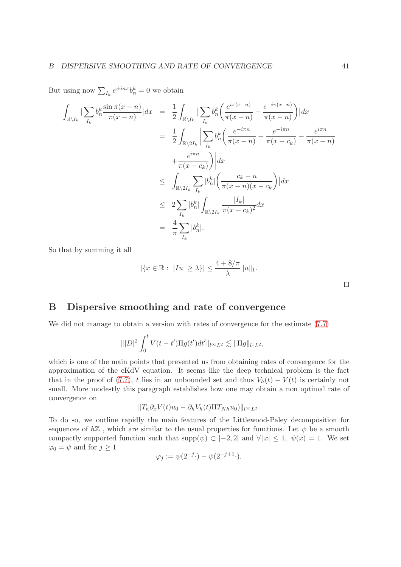But using now  $\sum_{I_k} e^{\pm in\pi} b_n^k = 0$  we obtain

$$
\int_{\mathbb{R}\setminus I_{k}} |\sum_{I_{k}} b_{n}^{k} \frac{\sin \pi (x - n)}{\pi (x - n)}| dx = \frac{1}{2} \int_{\mathbb{R}\setminus I_{k}} |\sum_{I_{k}} b_{n}^{k} \left( \frac{e^{i\pi (x - n)}}{\pi (x - n)} - \frac{e^{-i\pi (x - n)}}{\pi (x - n)} \right)| dx
$$
  
\n
$$
= \frac{1}{2} \int_{\mathbb{R}\setminus 2I_{k}} |\sum_{I_{k}} b_{n}^{k} \left( \frac{e^{-i\pi n}}{\pi (x - n)} - \frac{e^{-i\pi n}}{\pi (x - c_{k})} - \frac{e^{i\pi n}}{\pi (x - n)} \right)
$$
  
\n
$$
+ \frac{e^{i\pi n}}{\pi (x - c_{k})} \right) dx
$$
  
\n
$$
\leq \int_{\mathbb{R}\setminus 2I_{k}} \sum_{I_{k}} |b_{n}^{k}| \left( \frac{c_{k} - n}{\pi (x - n)(x - c_{k}} \right) | dx
$$
  
\n
$$
\leq 2 \sum_{I_{k}} |b_{n}^{k}| \int_{\mathbb{R}\setminus 2I_{k}} \frac{|I_{k}|}{\pi (x - c_{k})^{2}} dx
$$
  
\n
$$
= \frac{4}{\pi} \sum_{I_{k}} |b_{n}^{k}|.
$$

So that by summing it all

$$
|\{x \in \mathbb{R} : |Iu| \ge \lambda\}| \le \frac{4 + 8/\pi}{\lambda} ||u||_1.
$$

# <span id="page-40-0"></span>B Dispersive smoothing and rate of convergence

We did not manage to obtain a version with rates of convergence for the estimate [\(7.7\)](#page-27-2)

$$
\| |D|^2 \int_0^t V(t-t') \Pi g(t') dt' \|_{l^{\infty}L^2} \lesssim \| \Pi g \|_{l^1L^2},
$$

which is one of the main points that prevented us from obtaining rates of convergence for the approximation of the cKdV equation. It seems like the deep technical problem is the fact that in the proof of [\(7.7\)](#page-27-2), t lies in an unbounded set and thus  $V_h(t) - V(t)$  is certainly not small. More modestly this paragraph establishes how one may obtain a non optimal rate of convergence on

$$
||T_h \partial_x V(t)u_0 - \partial_h V_h(t) \Pi T_{Nh} u_0||_{l^{\infty}L^2}.
$$

To do so, we outline rapidly the main features of the Littlewood-Paley decomposition for sequences of  $h\mathbb{Z}$ , which are similar to the usual properties for functions. Let  $\psi$  be a smooth compactly supported function such that  $\text{supp}(\psi) \subset [-2,2]$  and  $\forall |x| \leq 1$ ,  $\psi(x) = 1$ . We set  $\varphi_0 = \psi$  and for  $j \geq 1$ 

$$
\varphi_j := \psi(2^{-j} \cdot) - \psi(2^{-j+1} \cdot).
$$

 $\Box$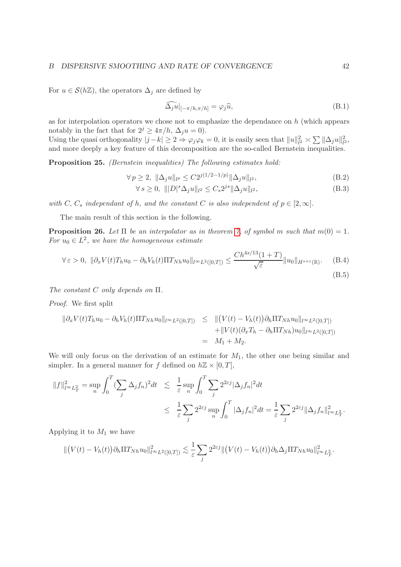#### B DISPERSIVE SMOOTHING AND RATE OF CONVERGENCE 42

For  $u \in \mathcal{S}(h\mathbb{Z})$ , the operators  $\Delta_j$  are defined by

$$
\tilde{\Delta}_j \tilde{u}|_{[-\pi/h,\pi/h]} = \varphi_j \hat{u},\tag{B.1}
$$

as for interpolation operators we chose not to emphasize the dependance on  $h$  (which appears notably in the fact that for  $2^j \geq 4\pi/h$ ,  $\Delta_i u = 0$ ).

Using the quasi orthogonality  $|j-k| \ge 2 \Rightarrow \varphi_j \varphi_k = 0$ , it is easily seen that  $||u||_{l^2}^2 \asymp \sum ||\Delta_j u||_{l^2}^2$ , and more deeply a key feature of this decomposition are the so-called Bernstein inequalities.

Proposition 25. (Bernstein inequalities) The following estimates hold:

<span id="page-41-0"></span>
$$
\forall p \ge 2, \ \|\Delta_j u\|_{l^p} \le C2^{j(1/2 - 1/p)} \|\Delta_j u\|_{l^2},\tag{B.2}
$$

$$
\forall s \ge 0, \ \| |D|^s \Delta_j u \|_{l^2} \le C_s 2^{js} \|\Delta_j u \|_{l^2}, \tag{B.3}
$$

with C, C<sub>s</sub> independant of h, and the constant C is also independent of  $p \in [2,\infty]$ .

The main result of this section is the following.

**Proposition 26.** Let  $\Pi$  be an interpolator as in theorem [7,](#page-15-1) of symbol m such that  $m(0) = 1$ . For  $u_0 \in L^2$ , we have the homogeneous estimate

$$
\forall \varepsilon > 0, \ \|\partial_x V(t) T_h u_0 - \partial_h V_h(t) \Pi T_{Nh} u_0\|_{l^\infty L^2([0,T])} \le \frac{Ch^{4s/13}(1+T)}{\sqrt{\varepsilon}} \|u_0\|_{H^{s+\varepsilon}(\mathbb{R})}. \tag{B.4}
$$

The constant C only depends on Π.

Proof. We first split

$$
\begin{aligned}\n\|\partial_x V(t) T_h u_0 - \partial_h V_h(t) \Pi T_{Nh} u_0\|_{l^\infty L^2([0,T])} &\leq \|(V(t) - V_h(t)) \partial_h \Pi T_{Nh} u_0\|_{l^\infty L^2([0,T])} \\
&\quad + \|V(t) (\partial_x T_h - \partial_h \Pi T_{Nh}) u_0\|_{l^\infty L^2([0,T])} \\
&= M_1 + M_2.\n\end{aligned}
$$

We will only focus on the derivation of an estimate for  $M_1$ , the other one being similar and simpler. In a general manner for f defined on  $h\mathbb{Z} \times [0,T]$ ,

$$
||f||_{l^{\infty}L_T^2}^2 = \sup_n \int_0^T (\sum_j \Delta_j f_n)^2 dt \leq \frac{1}{\varepsilon} \sup_n \int_0^T \sum_j 2^{2\varepsilon j} |\Delta_j f_n|^2 dt
$$
  

$$
\leq \frac{1}{\varepsilon} \sum_j 2^{2\varepsilon j} \sup_n \int_0^T |\Delta_j f_n|^2 dt = \frac{1}{\varepsilon} \sum_j 2^{2\varepsilon j} ||\Delta_j f_n||_{l^{\infty}L_T^2}^2.
$$

Applying it to  $M_1$  we have

$$
\| (V(t) - V_h(t)) \partial_h \Pi T_{Nh} u_0 \|_{l^{\infty} L^2([0,T])}^2 \lesssim \frac{1}{\varepsilon} \sum_j 2^{2\varepsilon j} \| (V(t) - V_h(t)) \partial_h \Delta_j \Pi T_{Nh} u_0 \|_{l^{\infty} L^2_T}^2.
$$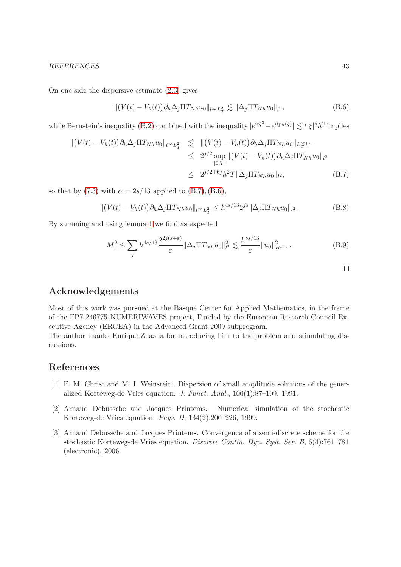#### REFERENCES 43

On one side the dispersive estimate [\(2.3\)](#page-5-0) gives

<span id="page-42-4"></span>
$$
\| (V(t) - V_h(t)) \partial_h \Delta_j \Pi T_{Nh} u_0 \|_{l^\infty L^2_T} \lesssim \| \Delta_j \Pi T_{Nh} u_0 \|_{l^2},
$$
\n(B.6)

while Bernstein's inequality [\(B.2\)](#page-41-0) combined with the inequality  $|e^{it\xi^3} - e^{itp_h(\xi)}| \lesssim t |\xi|^5 h^2$  implies

<span id="page-42-3"></span>
$$
\| (V(t) - V_h(t)) \partial_h \Delta_j \Pi T_{Nh} u_0 \|_{l^{\infty} L_T^2} \leq \| (V(t) - V_h(t)) \partial_h \Delta_j \Pi T_{Nh} u_0 \|_{L_T^{\infty} l^{\infty}}
$$
  
\n
$$
\leq 2^{j/2} \sup_{[0,T]} \| (V(t) - V_h(t)) \partial_h \Delta_j \Pi T_{Nh} u_0 \|_{l^2}
$$
  
\n
$$
\leq 2^{j/2 + 6j} h^2 T \| \Delta_j \Pi T_{Nh} u_0 \|_{l^2},
$$
 (B.7)

so that by [\(7.3\)](#page-27-3) with  $\alpha = 2s/13$  applied to [\(B.7\)](#page-42-3), [\(B.6\)](#page-42-4),

$$
\| (V(t) - V_h(t)) \partial_h \Delta_j \Pi T_{Nh} u_0 \|_{l^\infty L^2_T} \le h^{4s/13} 2^{js} \| \Delta_j \Pi T_{Nh} u_0 \|_{l^2}.
$$
 (B.8)

By summing and using lemma [1](#page-14-2) we find as expected

$$
M_1^2 \le \sum_j h^{4s/13} \frac{2^{2j(s+\varepsilon)}}{\varepsilon} \|\Delta_j \Pi T_{Nh} u_0\|_{l^2}^2 \lesssim \frac{h^{8s/13}}{\varepsilon} \|u_0\|_{H^{s+\varepsilon}}^2. \tag{B.9}
$$

### Acknowledgements

Most of this work was pursued at the Basque Center for Applied Mathematics, in the frame of the FP7-246775 NUMERIWAVES project, Funded by the European Research Council Executive Agency (ERCEA) in the Advanced Grant 2009 subprogram.

The author thanks Enrique Zuazua for introducing him to the problem and stimulating discussions.

# <span id="page-42-2"></span>References

- [1] F. M. Christ and M. I. Weinstein. Dispersion of small amplitude solutions of the generalized Korteweg-de Vries equation. J. Funct. Anal., 100(1):87–109, 1991.
- <span id="page-42-0"></span>[2] Arnaud Debussche and Jacques Printems. Numerical simulation of the stochastic Korteweg-de Vries equation. Phys. D, 134(2):200–226, 1999.
- <span id="page-42-1"></span>[3] Arnaud Debussche and Jacques Printems. Convergence of a semi-discrete scheme for the stochastic Korteweg-de Vries equation. Discrete Contin. Dyn. Syst. Ser. B, 6(4):761–781 (electronic), 2006.